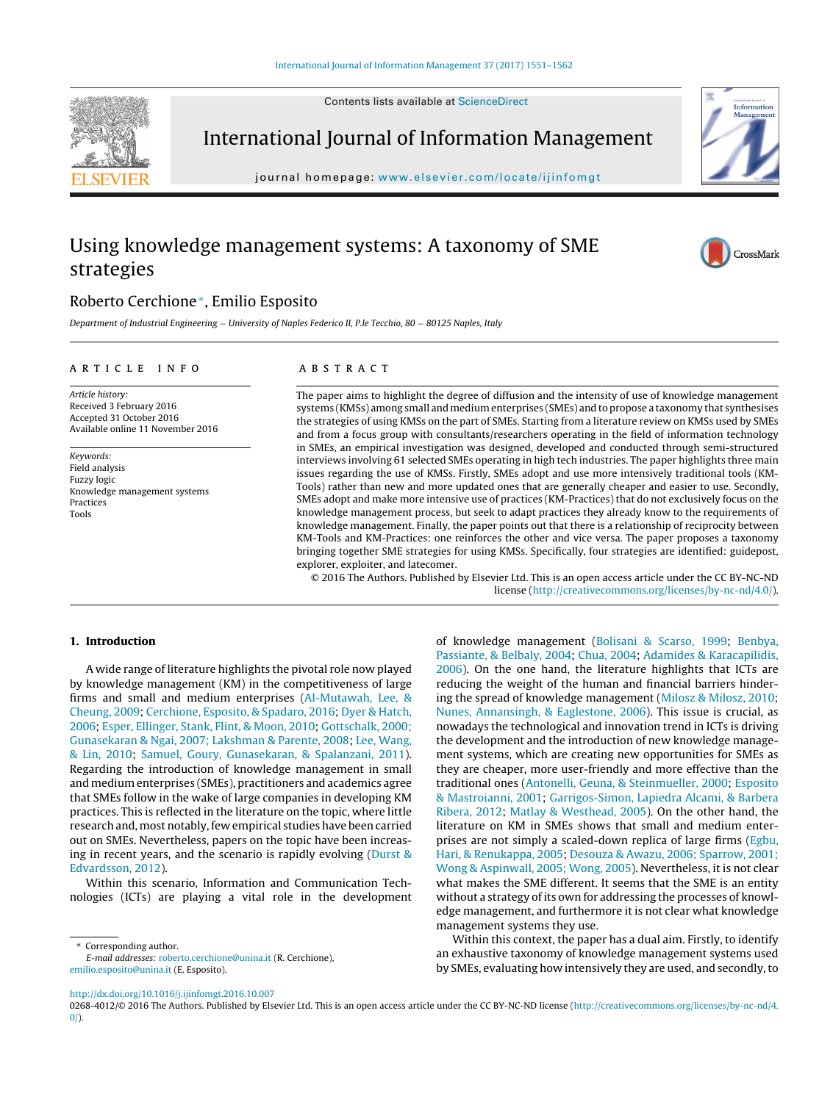Contents lists available at [ScienceDirect](http://www.sciencedirect.com/science/journal/02684012)



International Journal of Information Management

journal homepage: [www.elsevier.com/locate/ijinfomgt](http://www.elsevier.com/locate/ijinfomgt)

# Using knowledge management systems: A taxonomy of SME strategies



Information



## Roberto Cerchione∗, Emilio Esposito

Department of Industrial Engineering – University of Naples Federico II, P.le Tecchio, 80 – 80125 Naples, Italy

## ARTICLE INFO

Article history: Received 3 February 2016 Accepted 31 October 2016 Available online 11 November 2016

Keywords: Field analysis Fuzzy logic Knowledge management systems Practices Tools

## A B S T R A C T

The paper aims to highlight the degree of diffusion and the intensity of use of knowledge management systems (KMSs) among small and medium enterprises (SMEs) and to propose a taxonomy that synthesises the strategies of using KMSs on the part of SMEs. Starting from a literature review on KMSs used by SMEs and from a focus group with consultants/researchers operating in the field of information technology in SMEs, an empirical investigation was designed, developed and conducted through semi-structured interviews involving 61 selected SMEs operating in high tech industries. The paper highlights three main issues regarding the use of KMSs. Firstly, SMEs adopt and use more intensively traditional tools (KM-Tools) rather than new and more updated ones that are generally cheaper and easier to use. Secondly, SMEs adopt and make more intensive use of practices (KM-Practices) that do not exclusively focus on the knowledge management process, but seek to adapt practices they already know to the requirements of knowledge management. Finally, the paper points out that there is a relationship of reciprocity between KM-Tools and KM-Practices: one reinforces the other and vice versa. The paper proposes a taxonomy bringing together SME strategies for using KMSs. Specifically, four strategies are identified: guidepost, explorer, exploiter, and latecomer.

© 2016 The Authors. Published by Elsevier Ltd. This is an open access article under the CC BY-NC-ND license [\(http://creativecommons.org/licenses/by-nc-nd/4.0/](http://creativecommons.org/licenses/by-nc-nd/4.0/)).

## **1. Introduction**

A wide range of literature highlights the pivotal role now played by knowledge management (KM) in the competitiveness of large firms and small and medium enterprises [\(Al-Mutawah,](#page-10-0) [Lee,](#page-10-0) [&](#page-10-0) [Cheung,](#page-10-0) [2009;](#page-10-0) [Cerchione,](#page-10-0) [Esposito,](#page-10-0) [&](#page-10-0) [Spadaro,](#page-10-0) [2016;](#page-10-0) [Dyer](#page-10-0) [&](#page-10-0) [Hatch,](#page-10-0) [2006;](#page-10-0) [Esper,](#page-10-0) [Ellinger,](#page-10-0) [Stank,](#page-10-0) [Flint,](#page-10-0) [&](#page-10-0) [Moon,](#page-10-0) [2010;](#page-10-0) [Gottschalk,](#page-10-0) [2000;](#page-10-0) [Gunasekaran](#page-10-0) [&](#page-10-0) [Ngai,](#page-10-0) [2007;](#page-10-0) [Lakshman](#page-10-0) [&](#page-10-0) [Parente,](#page-10-0) [2008;](#page-10-0) [Lee,](#page-10-0) [Wang,](#page-10-0) [&](#page-10-0) [Lin,](#page-10-0) [2010;](#page-10-0) [Samuel,](#page-11-0) [Goury,](#page-11-0) [Gunasekaran,](#page-11-0) [&](#page-11-0) [Spalanzani,](#page-11-0) [2011\).](#page-11-0) Regarding the introduction of knowledge management in small and medium enterprises (SMEs), practitioners and academics agree that SMEs follow in the wake of large companies in developing KM practices. This is reflected in the literature on the topic, where little research and, most notably,few empirical studies have been carried out on SMEs. Nevertheless, papers on the topic have been increasing in recent years, and the scenario is rapidly evolving ([Durst](#page-10-0) [&](#page-10-0) [Edvardsson,](#page-10-0) [2012\).](#page-10-0)

Within this scenario, Information and Communication Technologies (ICTs) are playing a vital role in the development

E-mail addresses: [roberto.cerchione@unina.it](mailto:roberto.cerchione@unina.it) (R. Cerchione), [emilio.esposito@unina.it](mailto:emilio.esposito@unina.it) (E. Esposito).

[Nunes,](#page-11-0) [Annansingh,](#page-11-0) [&](#page-11-0) [Eaglestone,](#page-11-0) [2006\).](#page-11-0) This issue is crucial, as nowadays the technological and innovation trend in ICTs is driving the development and the introduction of new knowledge management systems, which are creating new opportunities for SMEs as they are cheaper, more user-friendly and more effective than the traditional ones ([Antonelli,](#page-10-0) [Geuna,](#page-10-0) [&](#page-10-0) [Steinmueller,](#page-10-0) [2000;](#page-10-0) [Esposito](#page-10-0) [&](#page-10-0) [Mastroianni,](#page-10-0) [2001;](#page-10-0) [Garrigos-Simon,](#page-10-0) [Lapiedra](#page-10-0) [Alcami,](#page-10-0) [&](#page-10-0) [Barbera](#page-10-0) [Ribera,](#page-10-0) [2012;](#page-10-0) [Matlay](#page-10-0) [&](#page-10-0) [Westhead,](#page-10-0) [2005\).](#page-10-0) On the other hand, the literature on KM in SMEs shows that small and medium enterprises are not simply a scaled-down replica of large firms ([Egbu,](#page-10-0) [Hari,](#page-10-0) [&](#page-10-0) [Renukappa,](#page-10-0) [2005;](#page-10-0) [Desouza](#page-10-0) [&](#page-10-0) [Awazu,](#page-10-0) [2006;](#page-10-0) [Sparrow,](#page-10-0) [2001;](#page-10-0) [Wong](#page-10-0) [&](#page-10-0) [Aspinwall,](#page-10-0) [2005;](#page-10-0) [Wong,](#page-10-0) [2005\).](#page-10-0) Nevertheless, it is not clear what makes the SME different. It seems that the SME is an entity without a strategy of its own for addressing the processes of knowledge management, and furthermore it is not clear what knowledge management systems they use. Within this context, the paper has a dual aim. Firstly, to identify

of knowledge management ([Bolisani](#page-10-0) [&](#page-10-0) [Scarso,](#page-10-0) [1999;](#page-10-0) [Benbya,](#page-10-0) [Passiante,](#page-10-0) [&](#page-10-0) [Belbaly,](#page-10-0) [2004;](#page-10-0) [Chua,](#page-10-0) [2004;](#page-10-0) [Adamides](#page-10-0) [&](#page-10-0) [Karacapilidis,](#page-10-0) [2006\).](#page-10-0) On the one hand, the literature highlights that ICTs are reducing the weight of the human and financial barriers hindering the spread of knowledge management [\(Milosz](#page-11-0) [&](#page-11-0) [Milosz,](#page-11-0) [2010;](#page-11-0)

an exhaustive taxonomy of knowledge management systems used by SMEs, evaluating how intensively they are used, and secondly, to

[http://dx.doi.org/10.1016/j.ijinfomgt.2016.10.007](dx.doi.org/10.1016/j.ijinfomgt.2016.10.007)

0268-4012/© 2016 The Authors. Published by Elsevier Ltd. This is an open access article under the CC BY-NC-ND license [\(http://creativecommons.org/licenses/by-nc-nd/4.](http://creativecommons.org/licenses/by-nc-nd/4.0/)  $0/$ ).

Corresponding author.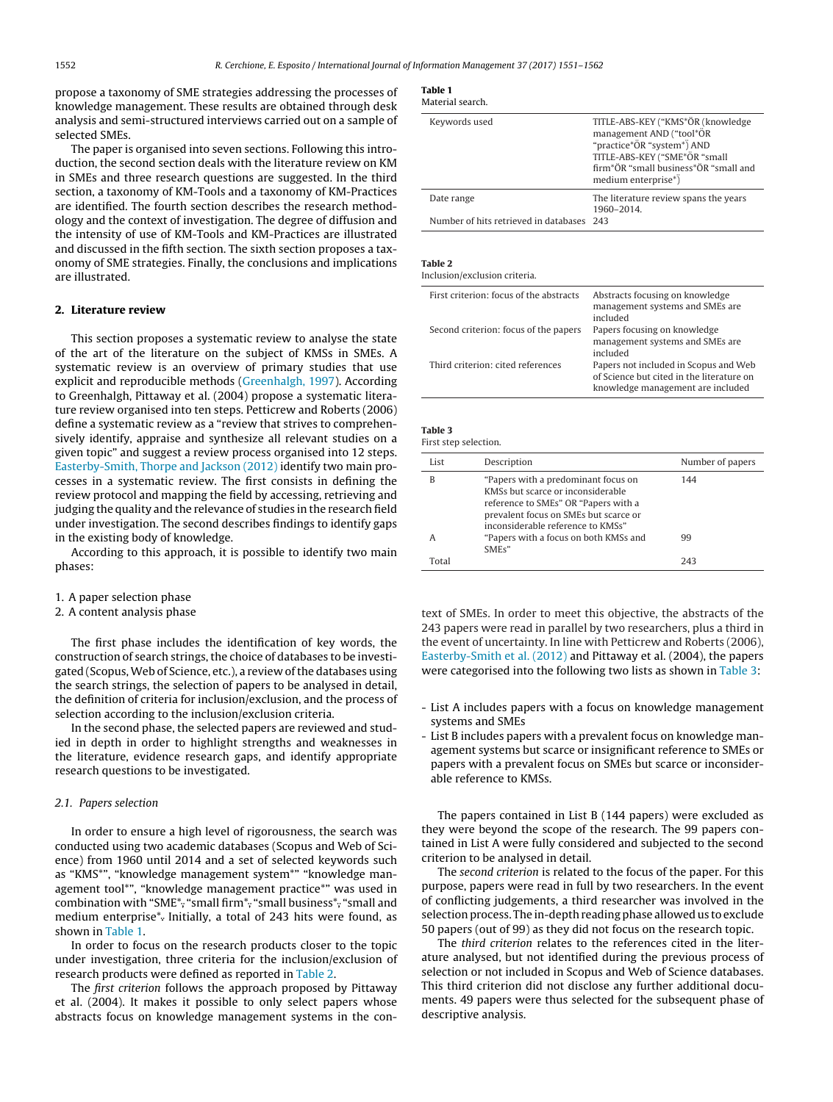propose a taxonomy of SME strategies addressing the processes of knowledge management. These results are obtained through desk analysis and semi-structured interviews carried out on a sample of selected SMEs.

The paper is organised into seven sections. Following this introduction, the second section deals with the literature review on KM in SMEs and three research questions are suggested. In the third section, a taxonomy of KM-Tools and a taxonomy of KM-Practices are identified. The fourth section describes the research methodology and the context of investigation. The degree of diffusion and the intensity of use of KM-Tools and KM-Practices are illustrated and discussed in the fifth section. The sixth section proposes a taxonomy of SME strategies. Finally, the conclusions and implications are illustrated.

## **2. Literature review**

This section proposes a systematic review to analyse the state of the art of the literature on the subject of KMSs in SMEs. A systematic review is an overview of primary studies that use explicit and reproducible methods ([Greenhalgh,](#page-10-0) [1997\).](#page-10-0) According to Greenhalgh, Pittaway et al. (2004) propose a systematic literature review organised into ten steps. Petticrew and Roberts (2006) define a systematic review as a "review that strives to comprehensively identify, appraise and synthesize all relevant studies on a given topic" and suggest a review process organised into 12 steps. [Easterby-Smith,](#page-10-0) [Thorpe](#page-10-0) [and](#page-10-0) [Jackson](#page-10-0) [\(2012\)](#page-10-0) identify two main processes in a systematic review. The first consists in defining the review protocol and mapping the field by accessing, retrieving and judging the quality and the relevance of studies in the research field under investigation. The second describes findings to identify gaps in the existing body of knowledge.

According to this approach, it is possible to identify two main phases:

- 1. A paper selection phase
- 2. A content analysis phase

The first phase includes the identification of key words, the construction of search strings, the choice of databases to be investigated (Scopus, Web of Science, etc.), a review of the databases using the search strings, the selection of papers to be analysed in detail, the definition of criteria for inclusion/exclusion, and the process of selection according to the inclusion/exclusion criteria.

In the second phase, the selected papers are reviewed and studied in depth in order to highlight strengths and weaknesses in the literature, evidence research gaps, and identify appropriate research questions to be investigated.

#### 2.1. Papers selection

In order to ensure a high level of rigorousness, the search was conducted using two academic databases (Scopus and Web of Science) from 1960 until 2014 and a set of selected keywords such as "KMS\*", "knowledge management system\*" "knowledge management tool\*", "knowledge management practice\*" was used in combination with "SME\*; "small firm\*; "small business\*; "small and medium enterprise\*. Initially, a total of 243 hits were found, as shown in Table 1.

In order to focus on the research products closer to the topic under investigation, three criteria for the inclusion/exclusion of research products were defined as reported in Table 2.

The first criterion follows the approach proposed by Pittaway et al. (2004). It makes it possible to only select papers whose abstracts focus on knowledge management systems in the con-

| Table 1          |  |
|------------------|--|
| Material search. |  |

| Keywords used                                           | TITLE-ABS-KEY ("KMS*ÖR (knowledge<br>management AND ("tool*ÖR<br>"practice*ÖR "system*) AND<br>TITLE-ABS-KEY ("SME*ÖR "small<br>firm*ÖR "small business*ÖR "small and<br>medium enterprise*) |
|---------------------------------------------------------|----------------------------------------------------------------------------------------------------------------------------------------------------------------------------------------------|
| Date range<br>Number of hits retrieved in databases 243 | The literature review spans the years<br>1960-2014.                                                                                                                                          |

#### **Table 2**

| Inclusion/exclusion criteria. |  |  |  |
|-------------------------------|--|--|--|
|-------------------------------|--|--|--|

| First criterion: focus of the abstracts | Abstracts focusing on knowledge<br>management systems and SMEs are<br>included                                          |
|-----------------------------------------|-------------------------------------------------------------------------------------------------------------------------|
| Second criterion: focus of the papers   | Papers focusing on knowledge<br>management systems and SMEs are<br>included                                             |
| Third criterion: cited references       | Papers not included in Scopus and Web<br>of Science but cited in the literature on<br>knowledge management are included |

**Table 3**

First step selection.

| List  | Description                                                                                                                                                                                    | Number of papers |
|-------|------------------------------------------------------------------------------------------------------------------------------------------------------------------------------------------------|------------------|
| R     | "Papers with a predominant focus on<br>KMSs but scarce or inconsiderable<br>reference to SMEs" OR "Papers with a<br>prevalent focus on SMEs but scarce or<br>inconsiderable reference to KMSs" | 144              |
|       | "Papers with a focus on both KMSs and<br>SMEs"                                                                                                                                                 | 99               |
| Total |                                                                                                                                                                                                | 243              |

text of SMEs. In order to meet this objective, the abstracts of the 243 papers were read in parallel by two researchers, plus a third in the event of uncertainty. In line with Petticrew and Roberts (2006), [Easterby-Smith](#page-10-0) et [al.](#page-10-0) [\(2012\)](#page-10-0) and Pittaway et al. (2004), the papers were categorised into the following two lists as shown in Table 3:

- List A includes papers with a focus on knowledge management systems and SMEs
- List B includes papers with a prevalent focus on knowledge management systems but scarce or insignificant reference to SMEs or papers with a prevalent focus on SMEs but scarce or inconsiderable reference to KMSs.

The papers contained in List B (144 papers) were excluded as they were beyond the scope of the research. The 99 papers contained in List A were fully considered and subjected to the second criterion to be analysed in detail.

The second criterion is related to the focus of the paper. For this purpose, papers were read in full by two researchers. In the event of conflicting judgements, a third researcher was involved in the selection process. The in-depth reading phase allowed us to exclude 50 papers (out of 99) as they did not focus on the research topic.

The third criterion relates to the references cited in the literature analysed, but not identified during the previous process of selection or not included in Scopus and Web of Science databases. This third criterion did not disclose any further additional documents. 49 papers were thus selected for the subsequent phase of descriptive analysis.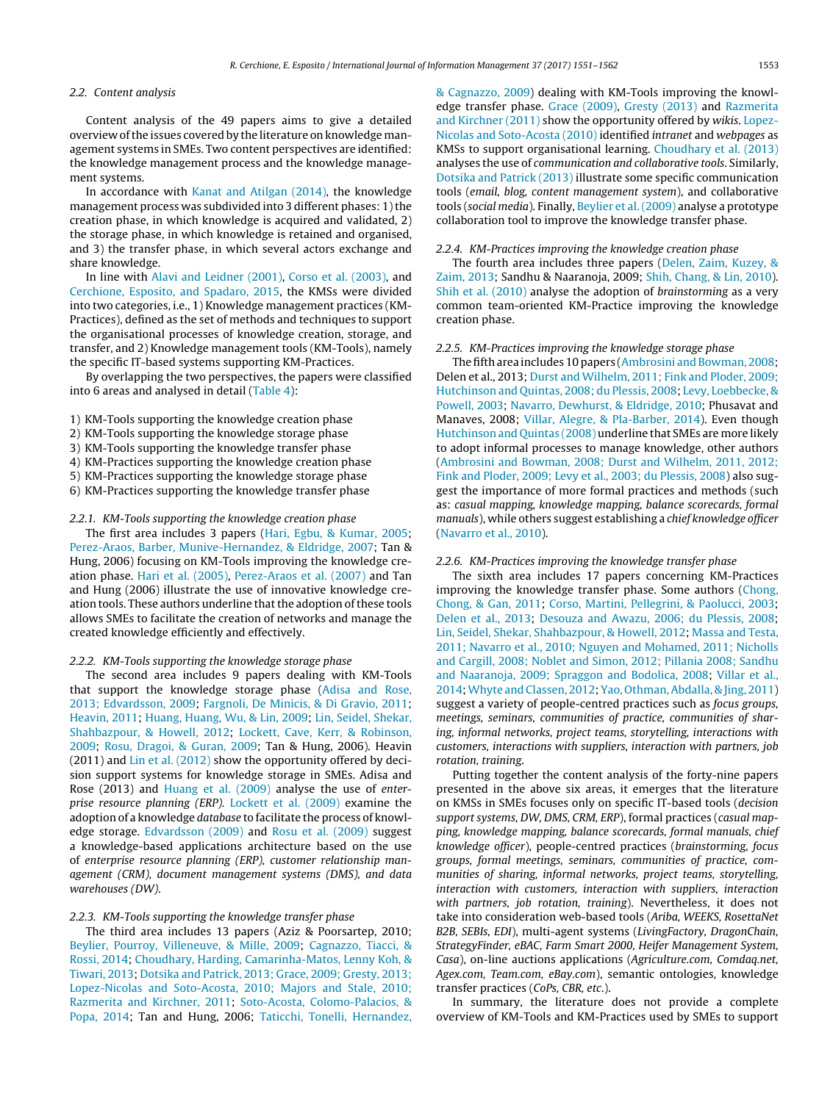#### 2.2. Content analysis

Content analysis of the 49 papers aims to give a detailed overview ofthe issues covered by the literature on knowledge management systems in SMEs. Two content perspectives are identified: the knowledge management process and the knowledge management systems.

In accordance with [Kanat](#page-10-0) [and](#page-10-0) [Atilgan](#page-10-0) [\(2014\),](#page-10-0) the knowledge management process was subdivided into 3 different phases: 1) the creation phase, in which knowledge is acquired and validated, 2) the storage phase, in which knowledge is retained and organised, and 3) the transfer phase, in which several actors exchange and share knowledge.

In line with [Alavi](#page-10-0) [and](#page-10-0) [Leidner](#page-10-0) [\(2001\),](#page-10-0) [Corso](#page-10-0) et [al.](#page-10-0) [\(2003\),](#page-10-0) and [Cerchione,](#page-10-0) [Esposito,](#page-10-0) [and](#page-10-0) [Spadaro,](#page-10-0) [2015,](#page-10-0) the KMSs were divided into two categories, i.e., 1) Knowledge management practices (KM-Practices), defined as the set of methods and techniques to support the organisational processes of knowledge creation, storage, and transfer, and 2) Knowledge management tools (KM-Tools), namely the specific IT-based systems supporting KM-Practices.

By overlapping the two perspectives, the papers were classified into 6 areas and analysed in detail [\(Table](#page-3-0) 4):

1) KM-Tools supporting the knowledge creation phase

- 2) KM-Tools supporting the knowledge storage phase
- 3) KM-Tools supporting the knowledge transfer phase
- 4) KM-Practices supporting the knowledge creation phase
- 5) KM-Practices supporting the knowledge storage phase
- 6) KM-Practices supporting the knowledge transfer phase

#### 2.2.1. KM-Tools supporting the knowledge creation phase

The first area includes 3 papers [\(Hari,](#page-10-0) [Egbu,](#page-10-0) [&](#page-10-0) [Kumar,](#page-10-0) [2005;](#page-10-0) [Perez-Araos,](#page-11-0) [Barber,](#page-11-0) [Munive-Hernandez,](#page-11-0) [&](#page-11-0) [Eldridge,](#page-11-0) [2007;](#page-11-0) Tan & Hung, 2006) focusing on KM-Tools improving the knowledge creation phase. [Hari](#page-10-0) et [al.](#page-10-0) [\(2005\),](#page-10-0) [Perez-Araos](#page-11-0) et [al.](#page-11-0) [\(2007\)](#page-11-0) and Tan and Hung (2006) illustrate the use of innovative knowledge creation tools. These authors underline that the adoption of these tools allows SMEs to facilitate the creation of networks and manage the created knowledge efficiently and effectively.

#### 2.2.2. KM-Tools supporting the knowledge storage phase

The second area includes 9 papers dealing with KM-Tools that support the knowledge storage phase [\(Adisa](#page-10-0) [and](#page-10-0) [Rose,](#page-10-0) [2013;](#page-10-0) [Edvardsson,](#page-10-0) [2009;](#page-10-0) [Fargnoli,](#page-10-0) [De](#page-10-0) [Minicis,](#page-10-0) [&](#page-10-0) [Di](#page-10-0) [Gravio,](#page-10-0) [2011;](#page-10-0) [Heavin,](#page-10-0) [2011;](#page-10-0) [Huang,](#page-10-0) [Huang,](#page-10-0) [Wu,](#page-10-0) [&](#page-10-0) [Lin,](#page-10-0) [2009;](#page-10-0) [Lin,](#page-10-0) [Seidel,](#page-10-0) [Shekar,](#page-10-0) [Shahbazpour,](#page-10-0) [&](#page-10-0) [Howell,](#page-10-0) [2012;](#page-10-0) [Lockett,](#page-10-0) [Cave,](#page-10-0) [Kerr,](#page-10-0) [&](#page-10-0) [Robinson,](#page-10-0) [2009;](#page-10-0) [Rosu,](#page-11-0) [Dragoi,](#page-11-0) [&](#page-11-0) [Guran,](#page-11-0) [2009;](#page-11-0) Tan & Hung, 2006). Heavin (2011) and [Lin](#page-10-0) et [al.](#page-10-0) [\(2012\)](#page-10-0) show the opportunity offered by decision support systems for knowledge storage in SMEs. Adisa and Rose (2013) and [Huang](#page-10-0) et [al.](#page-10-0) [\(2009\)](#page-10-0) analyse the use of enterprise resource planning (ERP). [Lockett](#page-10-0) et [al.](#page-10-0) [\(2009\)](#page-10-0) examine the adoption of a knowledge database to facilitate the process of knowledge storage. [Edvardsson](#page-10-0) [\(2009\)](#page-10-0) and [Rosu](#page-11-0) et [al.](#page-11-0) [\(2009\)](#page-11-0) suggest a knowledge-based applications architecture based on the use of enterprise resource planning (ERP), customer relationship management (CRM), document management systems (DMS), and data warehouses (DW).

## 2.2.3. KM-Tools supporting the knowledge transfer phase

The third area includes 13 papers (Aziz & Poorsartep, 2010; [Beylier,](#page-10-0) [Pourroy,](#page-10-0) [Villeneuve,](#page-10-0) [&](#page-10-0) [Mille,](#page-10-0) [2009;](#page-10-0) [Cagnazzo,](#page-10-0) [Tiacci,](#page-10-0) [&](#page-10-0) [Rossi,](#page-10-0) [2014;](#page-10-0) [Choudhary,](#page-10-0) [Harding,](#page-10-0) [Camarinha-Matos,](#page-10-0) [Lenny](#page-10-0) [Koh,](#page-10-0) [&](#page-10-0) [Tiwari,](#page-10-0) [2013;](#page-10-0) [Dotsika](#page-10-0) [and](#page-10-0) [Patrick,](#page-10-0) [2013;](#page-10-0) [Grace,](#page-10-0) [2009;](#page-10-0) [Gresty,](#page-10-0) [2013;](#page-10-0) [Lopez-Nicolas](#page-10-0) [and](#page-10-0) [Soto-Acosta,](#page-10-0) [2010;](#page-10-0) [Majors](#page-10-0) [and](#page-10-0) [Stale,](#page-10-0) [2010;](#page-10-0) [Razmerita](#page-10-0) [and](#page-10-0) [Kirchner,](#page-10-0) [2011;](#page-10-0) [Soto-Acosta,](#page-11-0) [Colomo-Palacios,](#page-11-0) [&](#page-11-0) [Popa,](#page-11-0) [2014;](#page-11-0) Tan and Hung, 2006; [Taticchi,](#page-11-0) [Tonelli,](#page-11-0) [Hernandez,](#page-11-0) [&](#page-11-0) [Cagnazzo,](#page-11-0) [2009\)](#page-11-0) dealing with KM-Tools improving the knowledge transfer phase. [Grace](#page-10-0) [\(2009\),](#page-10-0) [Gresty](#page-10-0) [\(2013\)](#page-10-0) and [Razmerita](#page-11-0) [and](#page-11-0) [Kirchner](#page-11-0) [\(2011\)](#page-11-0) show the opportunity offered by wikis. [Lopez-](#page-10-0)Nicolas [and](#page-10-0) [Soto-Acosta](#page-10-0) [\(2010\)](#page-10-0) identified intranet and webpages as KMSs to support organisational learning. [Choudhary](#page-10-0) et [al.](#page-10-0) [\(2013\)](#page-10-0) analyses the use of communication and collaborative tools. Similarly, [Dotsika](#page-10-0) [and](#page-10-0) [Patrick](#page-10-0) [\(2013\)](#page-10-0) illustrate some specific communication tools (email, blog, content management system), and collaborative tools (social media). Finally, [Beylier](#page-10-0) et [al.](#page-10-0) [\(2009\)](#page-10-0) analyse a prototype collaboration tool to improve the knowledge transfer phase.

#### 2.2.4. KM-Practices improving the knowledge creation phase

The fourth area includes three papers [\(Delen,](#page-10-0) [Zaim,](#page-10-0) [Kuzey,](#page-10-0) [&](#page-10-0) [Zaim,](#page-10-0) [2013;](#page-10-0) Sandhu & Naaranoja, 2009; [Shih,](#page-11-0) [Chang,](#page-11-0) [&](#page-11-0) [Lin,](#page-11-0) [2010\).](#page-11-0) [Shih](#page-11-0) et [al.](#page-11-0) [\(2010\)](#page-11-0) analyse the adoption of brainstorming as a very common team-oriented KM-Practice improving the knowledge creation phase.

#### 2.2.5. KM-Practices improving the knowledge storage phase

The fifth area includes 10 papers [\(Ambrosini](#page-10-0) and Bowman, [2008;](#page-10-0) Delen et al., 2013; [Durst](#page-10-0) [and](#page-10-0) [Wilhelm,](#page-10-0) [2011;](#page-10-0) [Fink](#page-10-0) [and](#page-10-0) [Ploder,](#page-10-0) [2009;](#page-10-0) [Hutchinson](#page-10-0) [and](#page-10-0) [Quintas,](#page-10-0) [2008;](#page-10-0) [du](#page-10-0) [Plessis,](#page-10-0) [2008;](#page-10-0) [Levy,](#page-10-0) [Loebbecke,](#page-10-0) [&](#page-10-0) [Powell,](#page-10-0) [2003;](#page-10-0) [Navarro,](#page-11-0) [Dewhurst,](#page-11-0) [&](#page-11-0) [Eldridge,](#page-11-0) [2010;](#page-11-0) Phusavat and Manaves, 2008; [Villar,](#page-11-0) [Alegre,](#page-11-0) [&](#page-11-0) [Pla-Barber,](#page-11-0) [2014\).](#page-11-0) Even though [Hutchinson](#page-10-0) [and](#page-10-0) [Quintas](#page-10-0) [\(2008\)](#page-10-0) underline that SMEs are more likely to adopt informal processes to manage knowledge, other authors [\(Ambrosini](#page-10-0) [and](#page-10-0) [Bowman,](#page-10-0) [2008;](#page-10-0) [Durst](#page-10-0) [and](#page-10-0) [Wilhelm,](#page-10-0) [2011,](#page-10-0) [2012;](#page-10-0) [Fink](#page-10-0) [and](#page-10-0) [Ploder,](#page-10-0) [2009;](#page-10-0) [Levy](#page-10-0) et [al.,](#page-10-0) [2003;](#page-10-0) [du](#page-10-0) [Plessis,](#page-10-0) [2008\)](#page-10-0) also suggest the importance of more formal practices and methods (such as: casual mapping, knowledge mapping, balance scorecards, formal manuals), while others suggest establishing a chief knowledge officer [\(Navarro](#page-11-0) et [al.,](#page-11-0) [2010\).](#page-11-0)

#### 2.2.6. KM-Practices improving the knowledge transfer phase

The sixth area includes 17 papers concerning KM-Practices improving the knowledge transfer phase. Some authors ([Chong,](#page-10-0) [Chong,](#page-10-0) [&](#page-10-0) [Gan,](#page-10-0) [2011;](#page-10-0) [Corso,](#page-10-0) [Martini,](#page-10-0) [Pellegrini,](#page-10-0) [&](#page-10-0) [Paolucci,](#page-10-0) [2003;](#page-10-0) [Delen](#page-10-0) et [al.,](#page-10-0) [2013;](#page-10-0) [Desouza](#page-10-0) [and](#page-10-0) [Awazu,](#page-10-0) [2006;](#page-10-0) [du](#page-10-0) [Plessis,](#page-10-0) [2008;](#page-10-0) [Lin,](#page-10-0) [Seidel,](#page-10-0) [Shekar,](#page-10-0) [Shahbazpour,](#page-10-0) [&](#page-10-0) [Howell,](#page-10-0) [2012;](#page-10-0) [Massa](#page-10-0) [and](#page-10-0) [Testa,](#page-10-0) [2011;](#page-10-0) [Navarro](#page-10-0) et [al.,](#page-10-0) [2010;](#page-10-0) [Nguyen](#page-10-0) [and](#page-10-0) [Mohamed,](#page-10-0) [2011;](#page-10-0) [Nicholls](#page-10-0) [and](#page-10-0) [Cargill,](#page-10-0) [2008;](#page-10-0) [Noblet](#page-10-0) [and](#page-10-0) [Simon,](#page-10-0) [2012;](#page-10-0) [Pillania](#page-10-0) [2008;](#page-10-0) [Sandhu](#page-10-0) [and](#page-10-0) [Naaranoja,](#page-10-0) [2009;](#page-10-0) [Spraggon](#page-10-0) [and](#page-10-0) [Bodolica,](#page-10-0) [2008;](#page-10-0) [Villar](#page-11-0) et [al.,](#page-11-0) [2014;Whyte](#page-11-0) [and](#page-11-0) [Classen,](#page-11-0) [2012;Yao,](#page-11-0) [Othman,Abdalla,](#page-11-0) [&](#page-11-0) [Jing,](#page-11-0) [2011\)](#page-11-0) suggest a variety of people-centred practices such as focus groups, meetings, seminars, communities of practice, communities of sharing, informal networks, project teams, storytelling, interactions with customers, interactions with suppliers, interaction with partners, job rotation, training.

Putting together the content analysis of the forty-nine papers presented in the above six areas, it emerges that the literature on KMSs in SMEs focuses only on specific IT-based tools (decision support systems, DW, DMS, CRM, ERP), formal practices (casual mapping, knowledge mapping, balance scorecards, formal manuals, chief knowledge officer), people-centred practices (brainstorming, focus groups, formal meetings, seminars, communities of practice, communities of sharing, informal networks, project teams, storytelling, interaction with customers, interaction with suppliers, interaction with partners, job rotation, training). Nevertheless, it does not take into consideration web-based tools (Ariba, WEEKS, RosettaNet B2B, SEBIs, EDI), multi-agent systems (LivingFactory, DragonChain, StrategyFinder, eBAC, Farm Smart 2000, Heifer Management System, Casa), on-line auctions applications (Agriculture.com, Comdaq.net, Agex.com, Team.com, eBay.com), semantic ontologies, knowledge transfer practices (CoPs, CBR, etc.).

In summary, the literature does not provide a complete overview of KM-Tools and KM-Practices used by SMEs to support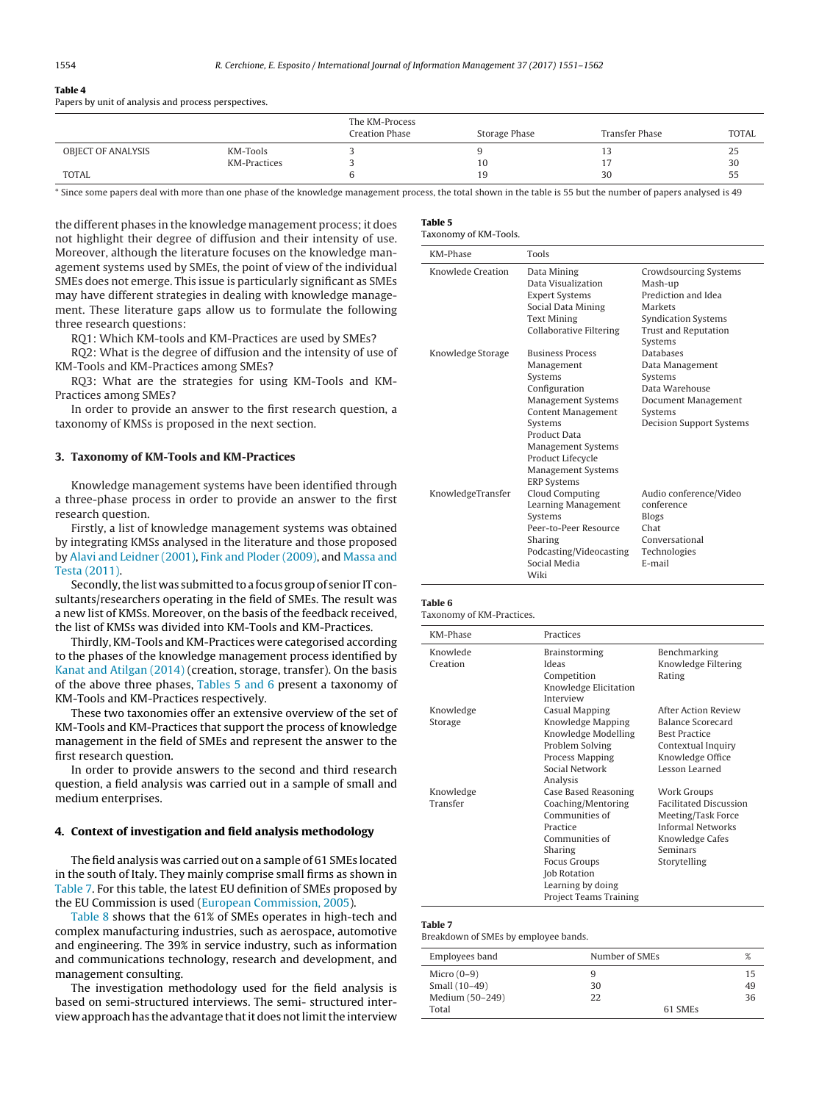#### **Table 4**

Papers by unit of analysis and process perspectives.

|                           |              | The KM-Process<br>Creation Phase | Storage Phase | Transfer Phase | TOTAL |
|---------------------------|--------------|----------------------------------|---------------|----------------|-------|
| <b>OBJECT OF ANALYSIS</b> | KM-Tools     |                                  |               | IJ             | 25    |
|                           | KM-Practices |                                  | 10            | . .            | 30    |
| <b>TOTAL</b>              |              |                                  | 19            | 30             | 55    |

\* Since some papers deal with more than one phase of the knowledge management process, the total shown in the table is 55 but the number of papers analysed is 49

the different phases in the knowledge management process; it does not highlight their degree of diffusion and their intensity of use. Moreover, although the literature focuses on the knowledge management systems used by SMEs, the point of view of the individual SMEs does not emerge. This issue is particularly significant as SMEs may have different strategies in dealing with knowledge management. These literature gaps allow us to formulate the following three research questions:

RQ1: Which KM-tools and KM-Practices are used by SMEs?

RQ2: What is the degree of diffusion and the intensity of use of KM-Tools and KM-Practices among SMEs?

RQ3: What are the strategies for using KM-Tools and KM-Practices among SMEs?

In order to provide an answer to the first research question, a taxonomy of KMSs is proposed in the next section.

## **3. Taxonomy of KM-Tools and KM-Practices**

Knowledge management systems have been identified through a three-phase process in order to provide an answer to the first research question.

Firstly, a list of knowledge management systems was obtained by integrating KMSs analysed in the literature and those proposed by [Alavi](#page-10-0) [and](#page-10-0) [Leidner](#page-10-0) [\(2001\),](#page-10-0) [Fink](#page-10-0) [and](#page-10-0) [Ploder](#page-10-0) [\(2009\),](#page-10-0) and [Massa](#page-10-0) [and](#page-10-0) [Testa](#page-10-0) [\(2011\).](#page-10-0)

Secondly, the list was submitted to a focus group of senior IT consultants/researchers operating in the field of SMEs. The result was a new list of KMSs. Moreover, on the basis of the feedback received, the list of KMSs was divided into KM-Tools and KM-Practices.

Thirdly, KM-Tools and KM-Practices were categorised according to the phases of the knowledge management process identified by [Kanat](#page-10-0) [and](#page-10-0) [Atilgan](#page-10-0) [\(2014\)](#page-10-0) (creation, storage, transfer). On the basis of the above three phases, Tables 5 and 6 present a taxonomy of KM-Tools and KM-Practices respectively.

These two taxonomies offer an extensive overview of the set of KM-Tools and KM-Practices that support the process of knowledge management in the field of SMEs and represent the answer to the first research question.

In order to provide answers to the second and third research question, a field analysis was carried out in a sample of small and medium enterprises.

#### **4. Context of investigation and field analysis methodology**

The field analysis was carried out on a sample of 61 SMEs located in the south of Italy. They mainly comprise small firms as shown in Table 7. For this table, the latest EU definition of SMEs proposed by the EU Commission is used ([European](#page-10-0) [Commission,](#page-10-0) [2005\).](#page-10-0)

[Table](#page-4-0) 8 shows that the 61% of SMEs operates in high-tech and complex manufacturing industries, such as aerospace, automotive and engineering. The 39% in service industry, such as information and communications technology, research and development, and management consulting.

The investigation methodology used for the field analysis is based on semi-structured interviews. The semi- structured interview approachhas the advantage thatit doesnotlimitthe interview

## **Table 5**

Taxonomy of KM-Tools.

| KM-Phase          | Tools                                                                                                                                                                                                                                         |                                                                                                                                            |
|-------------------|-----------------------------------------------------------------------------------------------------------------------------------------------------------------------------------------------------------------------------------------------|--------------------------------------------------------------------------------------------------------------------------------------------|
| Knowlede Creation | Data Mining<br>Data Visualization<br><b>Expert Systems</b><br>Social Data Mining<br><b>Text Mining</b><br>Collaborative Filtering                                                                                                             | Crowdsourcing Systems<br>Mash-up<br>Prediction and Idea<br>Markets<br><b>Syndication Systems</b><br><b>Trust and Reputation</b><br>Systems |
| Knowledge Storage | <b>Business Process</b><br>Management<br>Systems<br>Configuration<br>Management Systems<br>Content Management<br>Systems<br>Product Data<br><b>Management Systems</b><br>Product Lifecycle<br><b>Management Systems</b><br><b>ERP Systems</b> | <b>Databases</b><br>Data Management<br>Systems<br>Data Warehouse<br>Document Management<br>Systems<br>Decision Support Systems             |
| KnowledgeTransfer | Cloud Computing<br>Learning Management<br>Systems<br>Peer-to-Peer Resource<br>Sharing<br>Podcasting/Videocasting<br>Social Media<br>Wiki                                                                                                      | Audio conference/Video<br>conference<br>Blogs<br>Chat<br>Conversational<br>Technologies<br>E-mail                                          |

**Table 6**

Taxonomy of KM-Practices.

| KM-Phase              | Practices                                                                                                                                                                                          |                                                                                                                                                      |
|-----------------------|----------------------------------------------------------------------------------------------------------------------------------------------------------------------------------------------------|------------------------------------------------------------------------------------------------------------------------------------------------------|
| Knowlede<br>Creation  | <b>Brainstorming</b><br>Ideas<br>Competition<br>Knowledge Elicitation<br>Interview                                                                                                                 | Benchmarking<br>Knowledge Filtering<br>Rating                                                                                                        |
| Knowledge<br>Storage  | Casual Mapping<br>Knowledge Mapping<br>Knowledge Modelling<br>Problem Solving<br>Process Mapping<br>Social Network<br>Analysis                                                                     | After Action Review<br><b>Balance Scorecard</b><br><b>Best Practice</b><br>Contextual Inquiry<br>Knowledge Office<br>Lesson Learned                  |
| Knowledge<br>Transfer | Case Based Reasoning<br>Coaching/Mentoring<br>Communities of<br>Practice<br>Communities of<br>Sharing<br><b>Focus Groups</b><br>Job Rotation<br>Learning by doing<br><b>Project Teams Training</b> | <b>Work Groups</b><br><b>Facilitated Discussion</b><br>Meeting/Task Force<br><b>Informal Networks</b><br>Knowledge Cafes<br>Seminars<br>Storytelling |

#### **Table 7**

Breakdown of SMEs by employee bands.

| Number of SMEs<br>Employees band |         |    |
|----------------------------------|---------|----|
| Micro $(0-9)$                    |         | 15 |
| Small (10-49)                    | 30      | 49 |
| Medium (50-249)                  | 22      | 36 |
| Total                            | 61 SMEs |    |

<span id="page-3-0"></span>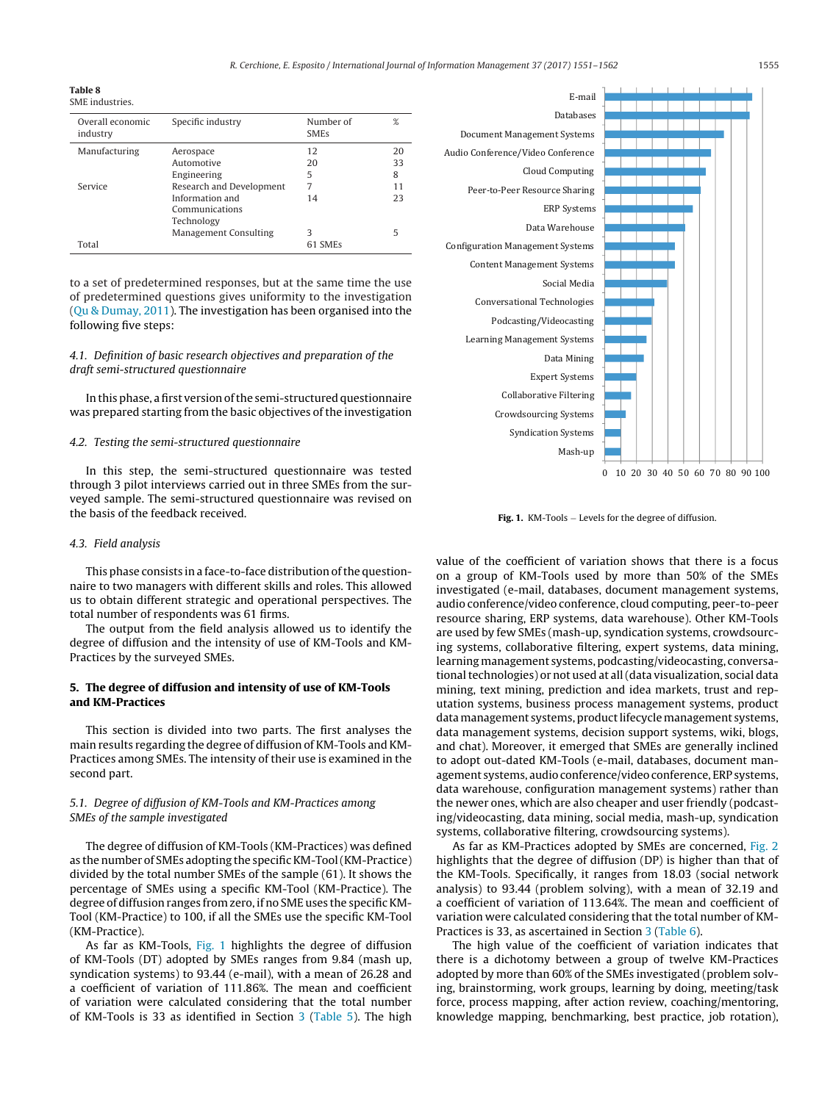#### <span id="page-4-0"></span>**Table 8** SME industries.

| Overall economic<br>industry | Specific industry        | Number of<br><b>SMEs</b> | %  |
|------------------------------|--------------------------|--------------------------|----|
| Manufacturing                | Aerospace                | 12                       | 20 |
|                              | Automotive               | 20                       | 33 |
|                              | Engineering              | 5                        | 8  |
| Service                      | Research and Development |                          | 11 |
|                              | Information and          | 14                       | 23 |
|                              | Communications           |                          |    |
|                              | Technology               |                          |    |
|                              | Management Consulting    | 3                        | 5  |
| Total                        |                          | 61 SMEs                  |    |

to a set of predetermined responses, but at the same time the use of predetermined questions gives uniformity to the investigation ([Qu](#page-11-0) [&](#page-11-0) [Dumay,](#page-11-0) [2011\).](#page-11-0) The investigation has been organised into the following five steps:

## 4.1. Definition of basic research objectives and preparation of the draft semi-structured questionnaire

In this phase, afirst version ofthe semi-structured questionnaire was prepared starting from the basic objectives of the investigation

## 4.2. Testing the semi-structured questionnaire

In this step, the semi-structured questionnaire was tested through 3 pilot interviews carried out in three SMEs from the surveyed sample. The semi-structured questionnaire was revised on the basis of the feedback received.

## 4.3. Field analysis

This phase consists in a face-to-face distribution of the questionnaire to two managers with different skills and roles. This allowed us to obtain different strategic and operational perspectives. The total number of respondents was 61 firms.

The output from the field analysis allowed us to identify the degree of diffusion and the intensity of use of KM-Tools and KM-Practices by the surveyed SMEs.

## **5. The degree of diffusion and intensity of use of KM-Tools and KM-Practices**

This section is divided into two parts. The first analyses the main results regarding the degree of diffusion of KM-Tools and KM-Practices among SMEs. The intensity of their use is examined in the second part.

## 5.1. Degree of diffusion of KM-Tools and KM-Practices among SMEs of the sample investigated

The degree of diffusion of KM-Tools (KM-Practices) was defined as the number of SMEs adopting the specificKM-Tool(KM-Practice) divided by the total number SMEs of the sample (61). It shows the percentage of SMEs using a specific KM-Tool (KM-Practice). The degree of diffusion ranges from zero, if no SME uses the specificKM-Tool (KM-Practice) to 100, if all the SMEs use the specific KM-Tool (KM-Practice).

As far as KM-Tools, Fig. 1 highlights the degree of diffusion of KM-Tools (DT) adopted by SMEs ranges from 9.84 (mash up, syndication systems) to 93.44 (e-mail), with a mean of 26.28 and a coefficient of variation of 111.86%. The mean and coefficient of variation were calculated considering that the total number of KM-Tools is 33 as identified in Section [3](#page-3-0) [\(Table](#page-3-0) 5). The high



**Fig. 1.** KM-Tools − Levels for the degree of diffusion.

value of the coefficient of variation shows that there is a focus on a group of KM-Tools used by more than 50% of the SMEs investigated (e-mail, databases, document management systems, audio conference/video conference, cloud computing, peer-to-peer resource sharing, ERP systems, data warehouse). Other KM-Tools are used by few SMEs (mash-up, syndication systems, crowdsourcing systems, collaborative filtering, expert systems, data mining, learning management systems, podcasting/videocasting, conversational technologies) or not used at all (data visualization, social data mining, text mining, prediction and idea markets, trust and reputation systems, business process management systems, product data management systems, product lifecycle management systems, data management systems, decision support systems, wiki, blogs, and chat). Moreover, it emerged that SMEs are generally inclined to adopt out-dated KM-Tools (e-mail, databases, document management systems, audio conference/video conference, ERP systems, data warehouse, configuration management systems) rather than the newer ones, which are also cheaper and user friendly (podcasting/videocasting, data mining, social media, mash-up, syndication systems, collaborative filtering, crowdsourcing systems).

As far as KM-Practices adopted by SMEs are concerned, [Fig.](#page-5-0) 2 highlights that the degree of diffusion (DP) is higher than that of the KM-Tools. Specifically, it ranges from 18.03 (social network analysis) to 93.44 (problem solving), with a mean of 32.19 and a coefficient of variation of 113.64%. The mean and coefficient of variation were calculated considering that the total number of KM-Practices is 33, as ascertained in Section [3](#page-3-0) ([Table](#page-3-0) 6).

The high value of the coefficient of variation indicates that there is a dichotomy between a group of twelve KM-Practices adopted by more than 60% of the SMEs investigated (problem solving, brainstorming, work groups, learning by doing, meeting/task force, process mapping, after action review, coaching/mentoring, knowledge mapping, benchmarking, best practice, job rotation),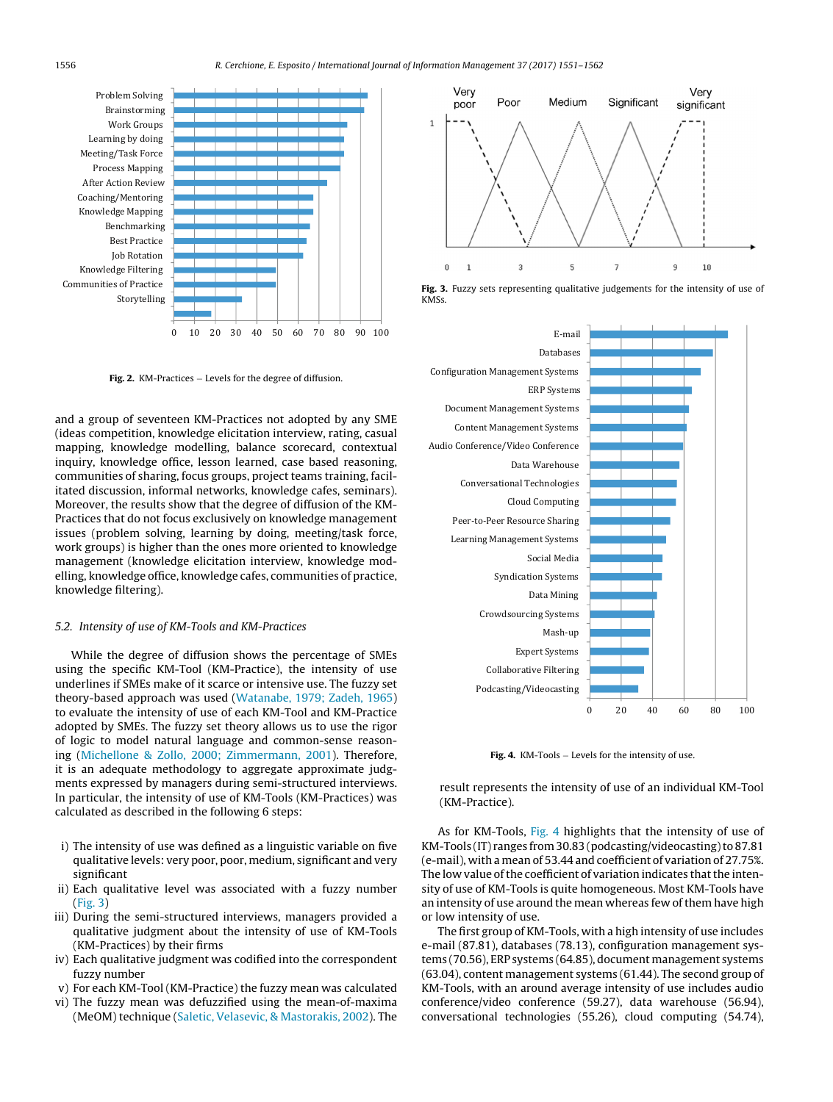<span id="page-5-0"></span>

**Fig. 2.** KM-Practices − Levels for the degree of diffusion.

and a group of seventeen KM-Practices not adopted by any SME (ideas competition, knowledge elicitation interview, rating, casual mapping, knowledge modelling, balance scorecard, contextual inquiry, knowledge office, lesson learned, case based reasoning, communities of sharing, focus groups, project teams training, facilitated discussion, informal networks, knowledge cafes, seminars). Moreover, the results show that the degree of diffusion of the KM-Practices that do not focus exclusively on knowledge management issues (problem solving, learning by doing, meeting/task force, work groups) is higher than the ones more oriented to knowledge management (knowledge elicitation interview, knowledge modelling, knowledge office, knowledge cafes, communities of practice, knowledge filtering).

#### 5.2. Intensity of use of KM-Tools and KM-Practices

While the degree of diffusion shows the percentage of SMEs using the specific KM-Tool (KM-Practice), the intensity of use underlines if SMEs make of it scarce or intensive use. The fuzzy set theory-based approach was used [\(Watanabe,](#page-11-0) [1979;](#page-11-0) [Zadeh,](#page-11-0) [1965\)](#page-11-0) to evaluate the intensity of use of each KM-Tool and KM-Practice adopted by SMEs. The fuzzy set theory allows us to use the rigor of logic to model natural language and common-sense reasoning ([Michellone](#page-10-0) [&](#page-10-0) [Zollo,](#page-10-0) [2000;](#page-10-0) [Zimmermann,](#page-10-0) [2001\).](#page-10-0) Therefore, it is an adequate methodology to aggregate approximate judgments expressed by managers during semi-structured interviews. In particular, the intensity of use of KM-Tools (KM-Practices) was calculated as described in the following 6 steps:

- i) The intensity of use was defined as a linguistic variable on five qualitative levels: very poor, poor, medium, significant and very significant
- ii) Each qualitative level was associated with a fuzzy number (Fig. 3)
- iii) During the semi-structured interviews, managers provided a qualitative judgment about the intensity of use of KM-Tools (KM-Practices) by their firms
- iv) Each qualitative judgment was codified into the correspondent fuzzy number
- v) For each KM-Tool (KM-Practice) the fuzzy mean was calculated
- vi) The fuzzy mean was defuzzified using the mean-of-maxima (MeOM) technique ([Saletic,](#page-11-0) [Velasevic,](#page-11-0) [&](#page-11-0) [Mastorakis,](#page-11-0) [2002\).](#page-11-0) The



**Fig. 3.** Fuzzy sets representing qualitative judgements for the intensity of use of KMSs.



**Fig. 4.** KM-Tools − Levels for the intensity of use.

result represents the intensity of use of an individual KM-Tool (KM-Practice).

As for KM-Tools, Fig. 4 highlights that the intensity of use of KM-Tools (IT) ranges from 30.83 (podcasting/videocasting) to 87.81 (e-mail), with a mean of 53.44 and coefficient of variation of 27.75%. The low value of the coefficient of variation indicates that the intensity of use of KM-Tools is quite homogeneous. Most KM-Tools have an intensity of use around the mean whereas few of them have high or low intensity of use.

The first group of KM-Tools, with a high intensity of use includes e-mail (87.81), databases (78.13), configuration management systems (70.56), ERP systems (64.85), document management systems (63.04), content management systems (61.44). The second group of KM-Tools, with an around average intensity of use includes audio conference/video conference (59.27), data warehouse (56.94), conversational technologies (55.26), cloud computing (54.74),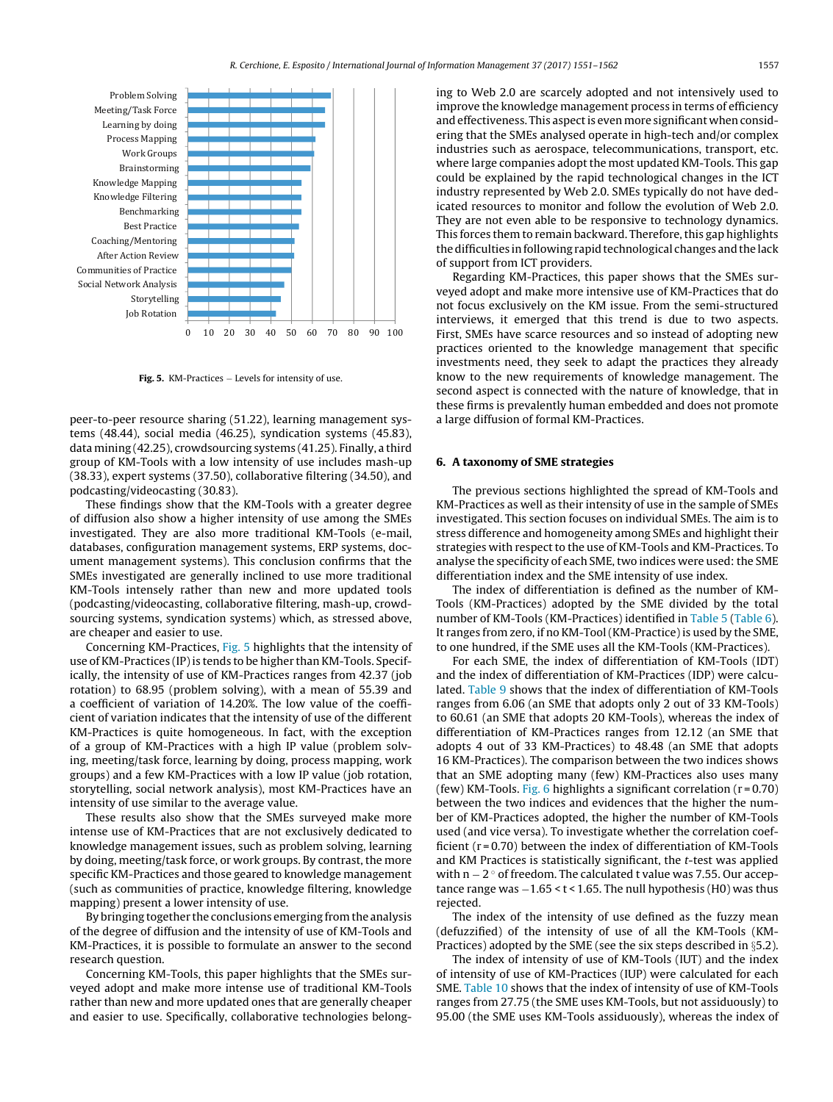

**Fig. 5.** KM-Practices − Levels for intensity of use.

peer-to-peer resource sharing (51.22), learning management systems (48.44), social media (46.25), syndication systems (45.83), data mining (42.25), crowdsourcing systems (41.25). Finally, a third group of KM-Tools with a low intensity of use includes mash-up (38.33), expert systems (37.50), collaborative filtering (34.50), and podcasting/videocasting (30.83).

These findings show that the KM-Tools with a greater degree of diffusion also show a higher intensity of use among the SMEs investigated. They are also more traditional KM-Tools (e-mail, databases, configuration management systems, ERP systems, document management systems). This conclusion confirms that the SMEs investigated are generally inclined to use more traditional KM-Tools intensely rather than new and more updated tools (podcasting/videocasting, collaborative filtering, mash-up, crowdsourcing systems, syndication systems) which, as stressed above, are cheaper and easier to use.

Concerning KM-Practices, Fig. 5 highlights that the intensity of use of KM-Practices (IP) is tends to be higher than KM-Tools. Specifically, the intensity of use of KM-Practices ranges from 42.37 (job rotation) to 68.95 (problem solving), with a mean of 55.39 and a coefficient of variation of 14.20%. The low value of the coefficient of variation indicates that the intensity of use of the different KM-Practices is quite homogeneous. In fact, with the exception of a group of KM-Practices with a high IP value (problem solving, meeting/task force, learning by doing, process mapping, work groups) and a few KM-Practices with a low IP value (job rotation, storytelling, social network analysis), most KM-Practices have an intensity of use similar to the average value.

These results also show that the SMEs surveyed make more intense use of KM-Practices that are not exclusively dedicated to knowledge management issues, such as problem solving, learning by doing, meeting/task force, or work groups. By contrast, the more specific KM-Practices and those geared to knowledge management (such as communities of practice, knowledge filtering, knowledge mapping) present a lower intensity of use.

By bringing together the conclusions emerging from the analysis of the degree of diffusion and the intensity of use of KM-Tools and KM-Practices, it is possible to formulate an answer to the second research question.

Concerning KM-Tools, this paper highlights that the SMEs surveyed adopt and make more intense use of traditional KM-Tools rather than new and more updated ones that are generally cheaper and easier to use. Specifically, collaborative technologies belonging to Web 2.0 are scarcely adopted and not intensively used to improve the knowledge management process in terms of efficiency and effectiveness. This aspect is even more significant when considering that the SMEs analysed operate in high-tech and/or complex industries such as aerospace, telecommunications, transport, etc. where large companies adopt the most updated KM-Tools. This gap could be explained by the rapid technological changes in the ICT industry represented by Web 2.0. SMEs typically do not have dedicated resources to monitor and follow the evolution of Web 2.0. They are not even able to be responsive to technology dynamics. This forces them to remain backward. Therefore, this gap highlights the difficulties in following rapid technological changes and the lack of support from ICT providers.

Regarding KM-Practices, this paper shows that the SMEs surveyed adopt and make more intensive use of KM-Practices that do not focus exclusively on the KM issue. From the semi-structured interviews, it emerged that this trend is due to two aspects. First, SMEs have scarce resources and so instead of adopting new practices oriented to the knowledge management that specific investments need, they seek to adapt the practices they already know to the new requirements of knowledge management. The second aspect is connected with the nature of knowledge, that in these firms is prevalently human embedded and does not promote a large diffusion of formal KM-Practices.

## **6. A taxonomy of SME strategies**

The previous sections highlighted the spread of KM-Tools and KM-Practices as well as their intensity of use in the sample of SMEs investigated. This section focuses on individual SMEs. The aim is to stress difference and homogeneity among SMEs and highlight their strategies with respect to the use of KM-Tools and KM-Practices. To analyse the specificity of each SME, two indices were used: the SME differentiation index and the SME intensity of use index.

The index of differentiation is defined as the number of KM-Tools (KM-Practices) adopted by the SME divided by the total number of KM-Tools (KM-Practices) identified in [Table](#page-3-0) 5 [\(Table](#page-3-0) 6). It ranges from zero, if no KM-Tool (KM-Practice) is used by the SME, to one hundred, if the SME uses all the KM-Tools (KM-Practices).

For each SME, the index of differentiation of KM-Tools (IDT) and the index of differentiation of KM-Practices (IDP) were calculated. [Table](#page-7-0) 9 shows that the index of differentiation of KM-Tools ranges from 6.06 (an SME that adopts only 2 out of 33 KM-Tools) to 60.61 (an SME that adopts 20 KM-Tools), whereas the index of differentiation of KM-Practices ranges from 12.12 (an SME that adopts 4 out of 33 KM-Practices) to 48.48 (an SME that adopts 16 KM-Practices). The comparison between the two indices shows that an SME adopting many (few) KM-Practices also uses many (few) KM-Tools. [Fig.](#page-7-0) 6 highlights a significant correlation (r = 0.70) between the two indices and evidences that the higher the number of KM-Practices adopted, the higher the number of KM-Tools used (and vice versa). To investigate whether the correlation coefficient  $(r = 0.70)$  between the index of differentiation of KM-Tools and KM Practices is statistically significant, the t-test was applied with n − 2 ° of freedom. The calculated t value was 7.55. Our acceptance range was −1.65 < t < 1.65. The null hypothesis (H0) was thus rejected.

The index of the intensity of use defined as the fuzzy mean (defuzzified) of the intensity of use of all the KM-Tools (KM-Practices) adopted by the SME (see the six steps described in §5.2).

The index of intensity of use of KM-Tools (IUT) and the index of intensity of use of KM-Practices (IUP) were calculated for each SME. [Table](#page-7-0) 10 shows that the index of intensity of use of KM-Tools ranges from 27.75 (the SME uses KM-Tools, but not assiduously) to 95.00 (the SME uses KM-Tools assiduously), whereas the index of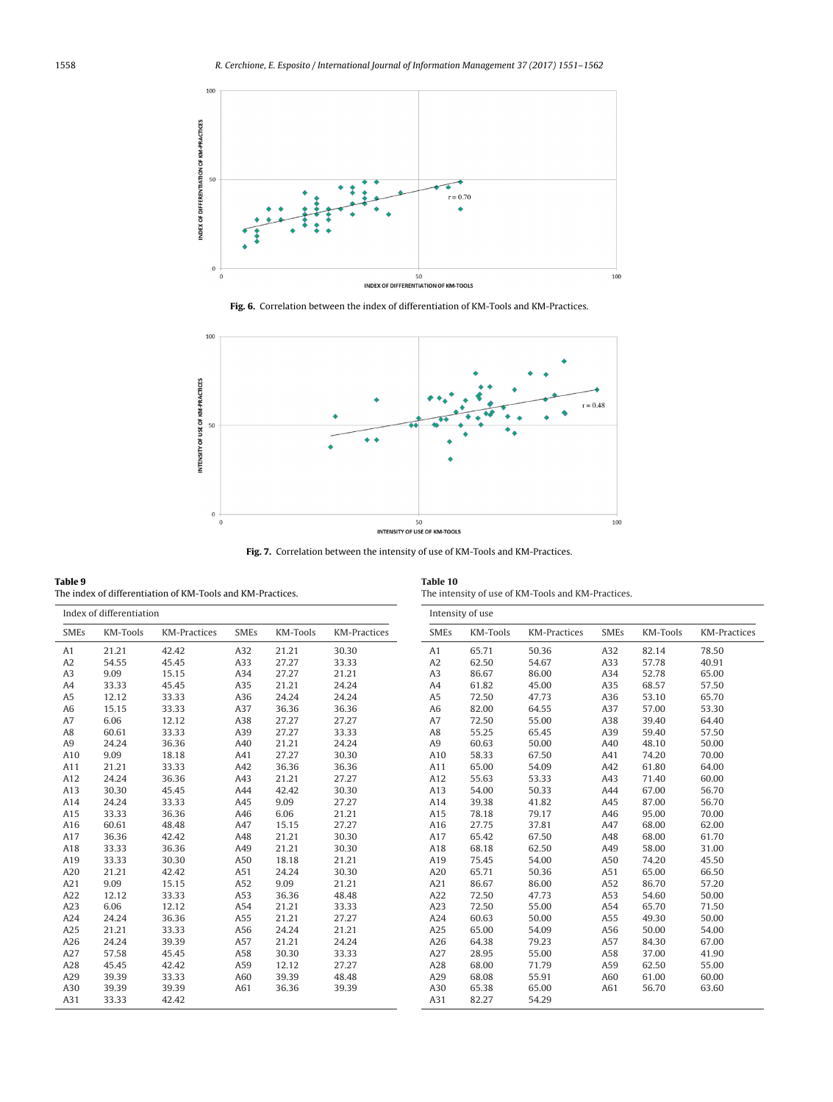<span id="page-7-0"></span>





**Fig. 7.** Correlation between the intensity of use of KM-Tools and KM-Practices.

|--|--|--|

The index of differentiation of KM-Tools and KM-Practices.

**Table 10** The intensity of use of KM-Tools and KM-Practices.

| <b>SMEs</b><br>KM-Tools<br><b>SMEs</b><br><b>KM-Tools</b><br>KM-Practices<br><b>SMEs</b><br>KM-Tools<br>KM-Practices<br><b>KM-Practices</b><br><b>SMEs</b><br>KM-Tools<br><b>KM-Practices</b><br>42.42<br>21.21<br>30.30<br>65.71<br>50.36<br>78.50<br>21.21<br>A32<br>A1<br>A32<br>82.14<br>A1<br>27.27<br>54.55<br>45.45<br>A33<br>33.33<br>A2<br>62.50<br>54.67<br>57.78<br>40.91<br>A <sub>2</sub><br>A33<br>A <sub>3</sub><br>9.09<br>15.15<br>27.27<br>A <sub>3</sub><br>86.67<br>86.00<br>52.78<br>65.00<br>A34<br>21.21<br>A34<br>33.33<br>45.45<br>A35<br>21.21<br>24.24<br>61.82<br>45.00<br>68.57<br>57.50<br>A4<br>A4<br>A35<br>24.24<br>65.70<br>12.12<br>33.33<br>24.24<br>A <sub>5</sub><br>72.50<br>47.73<br>53.10<br>A <sub>5</sub><br>A36<br>A36<br>33.33<br>36.36<br>A <sub>6</sub><br>82.00<br>64.55<br>57.00<br>53.30<br>A <sub>6</sub><br>15.15<br>A37<br>36.36<br>A37<br>6.06<br>12.12<br>27.27<br>72.50<br>55.00<br>39.40<br>64.40<br>A7<br>A38<br>27.27<br>A7<br>A38<br>A8<br>60.61<br>33.33<br>A39<br>27.27<br>33.33<br>A8<br>55.25<br>65.45<br>59.40<br>57.50<br>A39<br>36.36<br>21.21<br>60.63<br>50.00<br>50.00<br>24.24<br>24.24<br>A <sub>9</sub><br>48.10<br>A <sub>9</sub><br>A40<br>A40<br>27.27<br>70.00<br>9.09<br>18.18<br>30.30<br>58.33<br>67.50<br>74.20<br>A10<br>A41<br>A10<br>A41<br>36.36<br>64.00<br>21.21<br>33.33<br>A42<br>36.36<br>65.00<br>54.09<br>61.80<br>A11<br>A11<br>A42<br>24.24<br>36.36<br>27.27<br>55.63<br>53.33<br>60.00<br>A12<br>A43<br>21.21<br>A12<br>A43<br>71.40<br>30.30<br>30.30<br>54.00<br>50.33<br>67.00<br>56.70<br>A13<br>45.45<br>A44<br>42.42<br>A13<br>A44<br>24.24<br>33.33<br>9.09<br>27.27<br>39.38<br>41.82<br>87.00<br>56.70<br>A45<br>A14<br>A14<br>A45<br>36.36<br>6.06<br>79.17<br>95.00<br>70.00<br>A15<br>33.33<br>A46<br>21.21<br>A15<br>78.18<br>A46<br>27.27<br>37.81<br>62.00<br>60.61<br>48.48<br>A47<br>15.15<br>27.75<br>68.00<br>A16<br>A16<br>A47<br>61.70<br>36.36<br>42.42<br>A48<br>21.21<br>30.30<br>65.42<br>67.50<br>68.00<br>A17<br>A17<br>A48<br>33.33<br>36.36<br>21.21<br>68.18<br>62.50<br>58.00<br>31.00<br>A18<br>A49<br>30.30<br>A18<br>A49<br>33.33<br>30.30<br>A50<br>18.18<br>21.21<br>54.00<br>74.20<br>45.50<br>A19<br>A19<br>75.45<br>A50<br>50.36<br>21.21<br>42.42<br>A51<br>24.24<br>30.30<br>65.71<br>65.00<br>66.50<br>A20<br>A20<br>A51<br>9.09<br>21.21<br>86.70<br>57.20<br>9.09<br>15.15<br>A52<br>86.67<br>86.00<br>A21<br>A21<br>A52<br>33.33<br>36.36<br>47.73<br>54.60<br>50.00<br>A22<br>12.12<br>A53<br>48.48<br>A22<br>72.50<br>A53<br>6.06<br>55.00<br>A23<br>12.12<br>A54<br>21.21<br>33.33<br>72.50<br>65.70<br>71.50<br>A23<br>A54<br>24.24<br>36.36<br>A55<br>21.21<br>27.27<br>60.63<br>50.00<br>49.30<br>50.00<br>A24<br>A24<br>A55<br>54.00<br>21.21<br>33.33<br>A56<br>24.24<br>21.21<br>65.00<br>54.09<br>50.00<br>A25<br>A25<br>A56<br>24.24<br>39.39<br>A57<br>21.21<br>24.24<br>64.38<br>79.23<br>84.30<br>67.00<br>A26<br>A26<br>A57<br>37.00<br>45.45<br>30.30<br>33.33<br>28.95<br>55.00<br>41.90<br>A27<br>57.58<br>A58<br>A27<br>A58<br>A28<br>42.42<br>A59<br>12.12<br>27.27<br>68.00<br>71.79<br>62.50<br>55.00<br>45.45<br>A28<br>A59<br>33.33<br>39.39<br>68.08<br>55.91<br>61.00<br>60.00<br>A29<br>39.39<br>A60<br>48.48<br>A29<br>A60<br>39.39<br>39.39<br>36.36<br>39.39<br>65.38<br>65.00<br>56.70<br>63.60<br>A30<br>A61<br>A30<br>A61<br>A31<br>33.33<br>A31<br>82.27<br>54.29<br>42.42 | Index of differentiation |  |  | Intensity of use |  |  |  |  |  |  |  |
|-----------------------------------------------------------------------------------------------------------------------------------------------------------------------------------------------------------------------------------------------------------------------------------------------------------------------------------------------------------------------------------------------------------------------------------------------------------------------------------------------------------------------------------------------------------------------------------------------------------------------------------------------------------------------------------------------------------------------------------------------------------------------------------------------------------------------------------------------------------------------------------------------------------------------------------------------------------------------------------------------------------------------------------------------------------------------------------------------------------------------------------------------------------------------------------------------------------------------------------------------------------------------------------------------------------------------------------------------------------------------------------------------------------------------------------------------------------------------------------------------------------------------------------------------------------------------------------------------------------------------------------------------------------------------------------------------------------------------------------------------------------------------------------------------------------------------------------------------------------------------------------------------------------------------------------------------------------------------------------------------------------------------------------------------------------------------------------------------------------------------------------------------------------------------------------------------------------------------------------------------------------------------------------------------------------------------------------------------------------------------------------------------------------------------------------------------------------------------------------------------------------------------------------------------------------------------------------------------------------------------------------------------------------------------------------------------------------------------------------------------------------------------------------------------------------------------------------------------------------------------------------------------------------------------------------------------------------------------------------------------------------------------------------------------------------------------------------------------------------------------------------------------------------------------------------------------------------------------------------------------------------------------------------------------------------------------------------------------------------------------------------------------------------------------------------------------------------|--------------------------|--|--|------------------|--|--|--|--|--|--|--|
|                                                                                                                                                                                                                                                                                                                                                                                                                                                                                                                                                                                                                                                                                                                                                                                                                                                                                                                                                                                                                                                                                                                                                                                                                                                                                                                                                                                                                                                                                                                                                                                                                                                                                                                                                                                                                                                                                                                                                                                                                                                                                                                                                                                                                                                                                                                                                                                                                                                                                                                                                                                                                                                                                                                                                                                                                                                                                                                                                                                                                                                                                                                                                                                                                                                                                                                                                                                                                                                           |                          |  |  |                  |  |  |  |  |  |  |  |
|                                                                                                                                                                                                                                                                                                                                                                                                                                                                                                                                                                                                                                                                                                                                                                                                                                                                                                                                                                                                                                                                                                                                                                                                                                                                                                                                                                                                                                                                                                                                                                                                                                                                                                                                                                                                                                                                                                                                                                                                                                                                                                                                                                                                                                                                                                                                                                                                                                                                                                                                                                                                                                                                                                                                                                                                                                                                                                                                                                                                                                                                                                                                                                                                                                                                                                                                                                                                                                                           |                          |  |  |                  |  |  |  |  |  |  |  |
|                                                                                                                                                                                                                                                                                                                                                                                                                                                                                                                                                                                                                                                                                                                                                                                                                                                                                                                                                                                                                                                                                                                                                                                                                                                                                                                                                                                                                                                                                                                                                                                                                                                                                                                                                                                                                                                                                                                                                                                                                                                                                                                                                                                                                                                                                                                                                                                                                                                                                                                                                                                                                                                                                                                                                                                                                                                                                                                                                                                                                                                                                                                                                                                                                                                                                                                                                                                                                                                           |                          |  |  |                  |  |  |  |  |  |  |  |
|                                                                                                                                                                                                                                                                                                                                                                                                                                                                                                                                                                                                                                                                                                                                                                                                                                                                                                                                                                                                                                                                                                                                                                                                                                                                                                                                                                                                                                                                                                                                                                                                                                                                                                                                                                                                                                                                                                                                                                                                                                                                                                                                                                                                                                                                                                                                                                                                                                                                                                                                                                                                                                                                                                                                                                                                                                                                                                                                                                                                                                                                                                                                                                                                                                                                                                                                                                                                                                                           |                          |  |  |                  |  |  |  |  |  |  |  |
|                                                                                                                                                                                                                                                                                                                                                                                                                                                                                                                                                                                                                                                                                                                                                                                                                                                                                                                                                                                                                                                                                                                                                                                                                                                                                                                                                                                                                                                                                                                                                                                                                                                                                                                                                                                                                                                                                                                                                                                                                                                                                                                                                                                                                                                                                                                                                                                                                                                                                                                                                                                                                                                                                                                                                                                                                                                                                                                                                                                                                                                                                                                                                                                                                                                                                                                                                                                                                                                           |                          |  |  |                  |  |  |  |  |  |  |  |
|                                                                                                                                                                                                                                                                                                                                                                                                                                                                                                                                                                                                                                                                                                                                                                                                                                                                                                                                                                                                                                                                                                                                                                                                                                                                                                                                                                                                                                                                                                                                                                                                                                                                                                                                                                                                                                                                                                                                                                                                                                                                                                                                                                                                                                                                                                                                                                                                                                                                                                                                                                                                                                                                                                                                                                                                                                                                                                                                                                                                                                                                                                                                                                                                                                                                                                                                                                                                                                                           |                          |  |  |                  |  |  |  |  |  |  |  |
|                                                                                                                                                                                                                                                                                                                                                                                                                                                                                                                                                                                                                                                                                                                                                                                                                                                                                                                                                                                                                                                                                                                                                                                                                                                                                                                                                                                                                                                                                                                                                                                                                                                                                                                                                                                                                                                                                                                                                                                                                                                                                                                                                                                                                                                                                                                                                                                                                                                                                                                                                                                                                                                                                                                                                                                                                                                                                                                                                                                                                                                                                                                                                                                                                                                                                                                                                                                                                                                           |                          |  |  |                  |  |  |  |  |  |  |  |
|                                                                                                                                                                                                                                                                                                                                                                                                                                                                                                                                                                                                                                                                                                                                                                                                                                                                                                                                                                                                                                                                                                                                                                                                                                                                                                                                                                                                                                                                                                                                                                                                                                                                                                                                                                                                                                                                                                                                                                                                                                                                                                                                                                                                                                                                                                                                                                                                                                                                                                                                                                                                                                                                                                                                                                                                                                                                                                                                                                                                                                                                                                                                                                                                                                                                                                                                                                                                                                                           |                          |  |  |                  |  |  |  |  |  |  |  |
|                                                                                                                                                                                                                                                                                                                                                                                                                                                                                                                                                                                                                                                                                                                                                                                                                                                                                                                                                                                                                                                                                                                                                                                                                                                                                                                                                                                                                                                                                                                                                                                                                                                                                                                                                                                                                                                                                                                                                                                                                                                                                                                                                                                                                                                                                                                                                                                                                                                                                                                                                                                                                                                                                                                                                                                                                                                                                                                                                                                                                                                                                                                                                                                                                                                                                                                                                                                                                                                           |                          |  |  |                  |  |  |  |  |  |  |  |
|                                                                                                                                                                                                                                                                                                                                                                                                                                                                                                                                                                                                                                                                                                                                                                                                                                                                                                                                                                                                                                                                                                                                                                                                                                                                                                                                                                                                                                                                                                                                                                                                                                                                                                                                                                                                                                                                                                                                                                                                                                                                                                                                                                                                                                                                                                                                                                                                                                                                                                                                                                                                                                                                                                                                                                                                                                                                                                                                                                                                                                                                                                                                                                                                                                                                                                                                                                                                                                                           |                          |  |  |                  |  |  |  |  |  |  |  |
|                                                                                                                                                                                                                                                                                                                                                                                                                                                                                                                                                                                                                                                                                                                                                                                                                                                                                                                                                                                                                                                                                                                                                                                                                                                                                                                                                                                                                                                                                                                                                                                                                                                                                                                                                                                                                                                                                                                                                                                                                                                                                                                                                                                                                                                                                                                                                                                                                                                                                                                                                                                                                                                                                                                                                                                                                                                                                                                                                                                                                                                                                                                                                                                                                                                                                                                                                                                                                                                           |                          |  |  |                  |  |  |  |  |  |  |  |
|                                                                                                                                                                                                                                                                                                                                                                                                                                                                                                                                                                                                                                                                                                                                                                                                                                                                                                                                                                                                                                                                                                                                                                                                                                                                                                                                                                                                                                                                                                                                                                                                                                                                                                                                                                                                                                                                                                                                                                                                                                                                                                                                                                                                                                                                                                                                                                                                                                                                                                                                                                                                                                                                                                                                                                                                                                                                                                                                                                                                                                                                                                                                                                                                                                                                                                                                                                                                                                                           |                          |  |  |                  |  |  |  |  |  |  |  |
|                                                                                                                                                                                                                                                                                                                                                                                                                                                                                                                                                                                                                                                                                                                                                                                                                                                                                                                                                                                                                                                                                                                                                                                                                                                                                                                                                                                                                                                                                                                                                                                                                                                                                                                                                                                                                                                                                                                                                                                                                                                                                                                                                                                                                                                                                                                                                                                                                                                                                                                                                                                                                                                                                                                                                                                                                                                                                                                                                                                                                                                                                                                                                                                                                                                                                                                                                                                                                                                           |                          |  |  |                  |  |  |  |  |  |  |  |
|                                                                                                                                                                                                                                                                                                                                                                                                                                                                                                                                                                                                                                                                                                                                                                                                                                                                                                                                                                                                                                                                                                                                                                                                                                                                                                                                                                                                                                                                                                                                                                                                                                                                                                                                                                                                                                                                                                                                                                                                                                                                                                                                                                                                                                                                                                                                                                                                                                                                                                                                                                                                                                                                                                                                                                                                                                                                                                                                                                                                                                                                                                                                                                                                                                                                                                                                                                                                                                                           |                          |  |  |                  |  |  |  |  |  |  |  |
|                                                                                                                                                                                                                                                                                                                                                                                                                                                                                                                                                                                                                                                                                                                                                                                                                                                                                                                                                                                                                                                                                                                                                                                                                                                                                                                                                                                                                                                                                                                                                                                                                                                                                                                                                                                                                                                                                                                                                                                                                                                                                                                                                                                                                                                                                                                                                                                                                                                                                                                                                                                                                                                                                                                                                                                                                                                                                                                                                                                                                                                                                                                                                                                                                                                                                                                                                                                                                                                           |                          |  |  |                  |  |  |  |  |  |  |  |
|                                                                                                                                                                                                                                                                                                                                                                                                                                                                                                                                                                                                                                                                                                                                                                                                                                                                                                                                                                                                                                                                                                                                                                                                                                                                                                                                                                                                                                                                                                                                                                                                                                                                                                                                                                                                                                                                                                                                                                                                                                                                                                                                                                                                                                                                                                                                                                                                                                                                                                                                                                                                                                                                                                                                                                                                                                                                                                                                                                                                                                                                                                                                                                                                                                                                                                                                                                                                                                                           |                          |  |  |                  |  |  |  |  |  |  |  |
|                                                                                                                                                                                                                                                                                                                                                                                                                                                                                                                                                                                                                                                                                                                                                                                                                                                                                                                                                                                                                                                                                                                                                                                                                                                                                                                                                                                                                                                                                                                                                                                                                                                                                                                                                                                                                                                                                                                                                                                                                                                                                                                                                                                                                                                                                                                                                                                                                                                                                                                                                                                                                                                                                                                                                                                                                                                                                                                                                                                                                                                                                                                                                                                                                                                                                                                                                                                                                                                           |                          |  |  |                  |  |  |  |  |  |  |  |
|                                                                                                                                                                                                                                                                                                                                                                                                                                                                                                                                                                                                                                                                                                                                                                                                                                                                                                                                                                                                                                                                                                                                                                                                                                                                                                                                                                                                                                                                                                                                                                                                                                                                                                                                                                                                                                                                                                                                                                                                                                                                                                                                                                                                                                                                                                                                                                                                                                                                                                                                                                                                                                                                                                                                                                                                                                                                                                                                                                                                                                                                                                                                                                                                                                                                                                                                                                                                                                                           |                          |  |  |                  |  |  |  |  |  |  |  |
|                                                                                                                                                                                                                                                                                                                                                                                                                                                                                                                                                                                                                                                                                                                                                                                                                                                                                                                                                                                                                                                                                                                                                                                                                                                                                                                                                                                                                                                                                                                                                                                                                                                                                                                                                                                                                                                                                                                                                                                                                                                                                                                                                                                                                                                                                                                                                                                                                                                                                                                                                                                                                                                                                                                                                                                                                                                                                                                                                                                                                                                                                                                                                                                                                                                                                                                                                                                                                                                           |                          |  |  |                  |  |  |  |  |  |  |  |
|                                                                                                                                                                                                                                                                                                                                                                                                                                                                                                                                                                                                                                                                                                                                                                                                                                                                                                                                                                                                                                                                                                                                                                                                                                                                                                                                                                                                                                                                                                                                                                                                                                                                                                                                                                                                                                                                                                                                                                                                                                                                                                                                                                                                                                                                                                                                                                                                                                                                                                                                                                                                                                                                                                                                                                                                                                                                                                                                                                                                                                                                                                                                                                                                                                                                                                                                                                                                                                                           |                          |  |  |                  |  |  |  |  |  |  |  |
|                                                                                                                                                                                                                                                                                                                                                                                                                                                                                                                                                                                                                                                                                                                                                                                                                                                                                                                                                                                                                                                                                                                                                                                                                                                                                                                                                                                                                                                                                                                                                                                                                                                                                                                                                                                                                                                                                                                                                                                                                                                                                                                                                                                                                                                                                                                                                                                                                                                                                                                                                                                                                                                                                                                                                                                                                                                                                                                                                                                                                                                                                                                                                                                                                                                                                                                                                                                                                                                           |                          |  |  |                  |  |  |  |  |  |  |  |
|                                                                                                                                                                                                                                                                                                                                                                                                                                                                                                                                                                                                                                                                                                                                                                                                                                                                                                                                                                                                                                                                                                                                                                                                                                                                                                                                                                                                                                                                                                                                                                                                                                                                                                                                                                                                                                                                                                                                                                                                                                                                                                                                                                                                                                                                                                                                                                                                                                                                                                                                                                                                                                                                                                                                                                                                                                                                                                                                                                                                                                                                                                                                                                                                                                                                                                                                                                                                                                                           |                          |  |  |                  |  |  |  |  |  |  |  |
|                                                                                                                                                                                                                                                                                                                                                                                                                                                                                                                                                                                                                                                                                                                                                                                                                                                                                                                                                                                                                                                                                                                                                                                                                                                                                                                                                                                                                                                                                                                                                                                                                                                                                                                                                                                                                                                                                                                                                                                                                                                                                                                                                                                                                                                                                                                                                                                                                                                                                                                                                                                                                                                                                                                                                                                                                                                                                                                                                                                                                                                                                                                                                                                                                                                                                                                                                                                                                                                           |                          |  |  |                  |  |  |  |  |  |  |  |
|                                                                                                                                                                                                                                                                                                                                                                                                                                                                                                                                                                                                                                                                                                                                                                                                                                                                                                                                                                                                                                                                                                                                                                                                                                                                                                                                                                                                                                                                                                                                                                                                                                                                                                                                                                                                                                                                                                                                                                                                                                                                                                                                                                                                                                                                                                                                                                                                                                                                                                                                                                                                                                                                                                                                                                                                                                                                                                                                                                                                                                                                                                                                                                                                                                                                                                                                                                                                                                                           |                          |  |  |                  |  |  |  |  |  |  |  |
|                                                                                                                                                                                                                                                                                                                                                                                                                                                                                                                                                                                                                                                                                                                                                                                                                                                                                                                                                                                                                                                                                                                                                                                                                                                                                                                                                                                                                                                                                                                                                                                                                                                                                                                                                                                                                                                                                                                                                                                                                                                                                                                                                                                                                                                                                                                                                                                                                                                                                                                                                                                                                                                                                                                                                                                                                                                                                                                                                                                                                                                                                                                                                                                                                                                                                                                                                                                                                                                           |                          |  |  |                  |  |  |  |  |  |  |  |
|                                                                                                                                                                                                                                                                                                                                                                                                                                                                                                                                                                                                                                                                                                                                                                                                                                                                                                                                                                                                                                                                                                                                                                                                                                                                                                                                                                                                                                                                                                                                                                                                                                                                                                                                                                                                                                                                                                                                                                                                                                                                                                                                                                                                                                                                                                                                                                                                                                                                                                                                                                                                                                                                                                                                                                                                                                                                                                                                                                                                                                                                                                                                                                                                                                                                                                                                                                                                                                                           |                          |  |  |                  |  |  |  |  |  |  |  |
|                                                                                                                                                                                                                                                                                                                                                                                                                                                                                                                                                                                                                                                                                                                                                                                                                                                                                                                                                                                                                                                                                                                                                                                                                                                                                                                                                                                                                                                                                                                                                                                                                                                                                                                                                                                                                                                                                                                                                                                                                                                                                                                                                                                                                                                                                                                                                                                                                                                                                                                                                                                                                                                                                                                                                                                                                                                                                                                                                                                                                                                                                                                                                                                                                                                                                                                                                                                                                                                           |                          |  |  |                  |  |  |  |  |  |  |  |
|                                                                                                                                                                                                                                                                                                                                                                                                                                                                                                                                                                                                                                                                                                                                                                                                                                                                                                                                                                                                                                                                                                                                                                                                                                                                                                                                                                                                                                                                                                                                                                                                                                                                                                                                                                                                                                                                                                                                                                                                                                                                                                                                                                                                                                                                                                                                                                                                                                                                                                                                                                                                                                                                                                                                                                                                                                                                                                                                                                                                                                                                                                                                                                                                                                                                                                                                                                                                                                                           |                          |  |  |                  |  |  |  |  |  |  |  |
|                                                                                                                                                                                                                                                                                                                                                                                                                                                                                                                                                                                                                                                                                                                                                                                                                                                                                                                                                                                                                                                                                                                                                                                                                                                                                                                                                                                                                                                                                                                                                                                                                                                                                                                                                                                                                                                                                                                                                                                                                                                                                                                                                                                                                                                                                                                                                                                                                                                                                                                                                                                                                                                                                                                                                                                                                                                                                                                                                                                                                                                                                                                                                                                                                                                                                                                                                                                                                                                           |                          |  |  |                  |  |  |  |  |  |  |  |
|                                                                                                                                                                                                                                                                                                                                                                                                                                                                                                                                                                                                                                                                                                                                                                                                                                                                                                                                                                                                                                                                                                                                                                                                                                                                                                                                                                                                                                                                                                                                                                                                                                                                                                                                                                                                                                                                                                                                                                                                                                                                                                                                                                                                                                                                                                                                                                                                                                                                                                                                                                                                                                                                                                                                                                                                                                                                                                                                                                                                                                                                                                                                                                                                                                                                                                                                                                                                                                                           |                          |  |  |                  |  |  |  |  |  |  |  |
|                                                                                                                                                                                                                                                                                                                                                                                                                                                                                                                                                                                                                                                                                                                                                                                                                                                                                                                                                                                                                                                                                                                                                                                                                                                                                                                                                                                                                                                                                                                                                                                                                                                                                                                                                                                                                                                                                                                                                                                                                                                                                                                                                                                                                                                                                                                                                                                                                                                                                                                                                                                                                                                                                                                                                                                                                                                                                                                                                                                                                                                                                                                                                                                                                                                                                                                                                                                                                                                           |                          |  |  |                  |  |  |  |  |  |  |  |
|                                                                                                                                                                                                                                                                                                                                                                                                                                                                                                                                                                                                                                                                                                                                                                                                                                                                                                                                                                                                                                                                                                                                                                                                                                                                                                                                                                                                                                                                                                                                                                                                                                                                                                                                                                                                                                                                                                                                                                                                                                                                                                                                                                                                                                                                                                                                                                                                                                                                                                                                                                                                                                                                                                                                                                                                                                                                                                                                                                                                                                                                                                                                                                                                                                                                                                                                                                                                                                                           |                          |  |  |                  |  |  |  |  |  |  |  |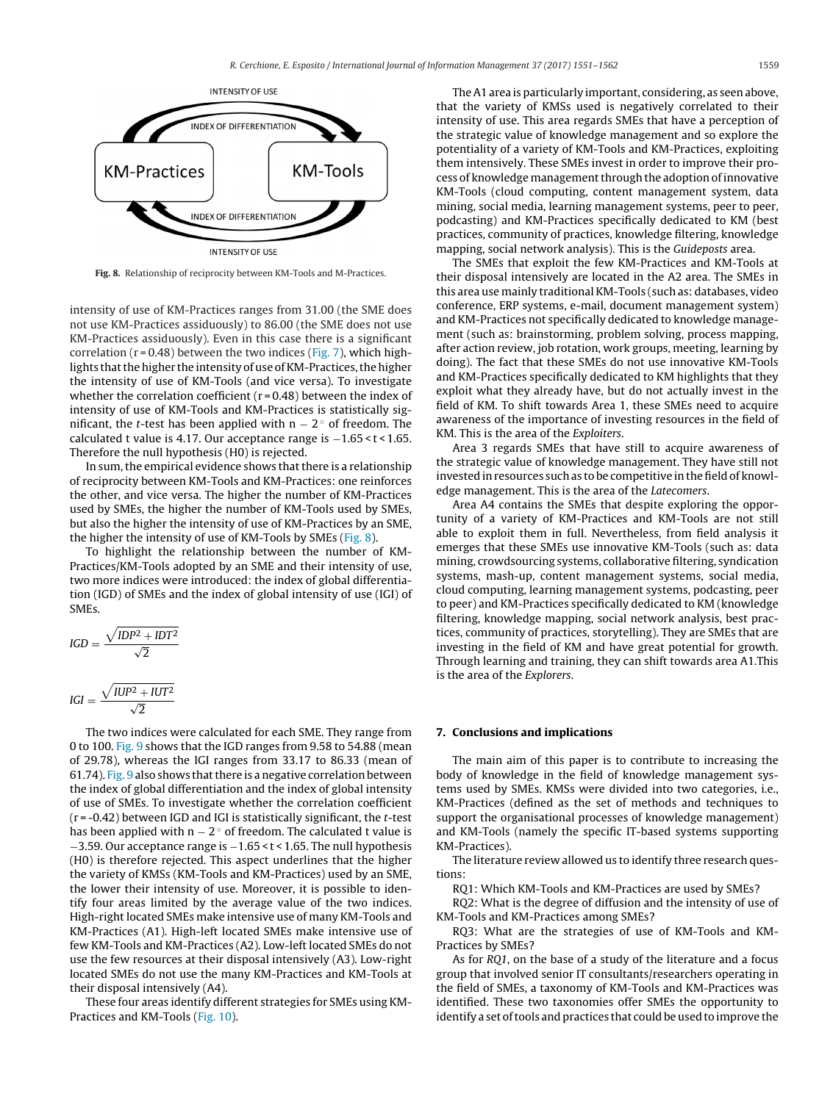

**Fig. 8.** Relationship of reciprocity between KM-Tools and M-Practices.

intensity of use of KM-Practices ranges from 31.00 (the SME does not use KM-Practices assiduously) to 86.00 (the SME does not use KM-Practices assiduously). Even in this case there is a significant correlation ( $r = 0.48$ ) between the two indices ([Fig.](#page-7-0) 7), which highlights that the higher the intensity of use of KM-Practices, the higher the intensity of use of KM-Tools (and vice versa). To investigate whether the correlation coefficient ( $r = 0.48$ ) between the index of intensity of use of KM-Tools and KM-Practices is statistically significant, the t-test has been applied with  $n - 2$ ° of freedom. The calculated t value is 4.17. Our acceptance range is −1.65 < t < 1.65. Therefore the null hypothesis (H0) is rejected.

In sum, the empirical evidence shows that there is a relationship of reciprocity between KM-Tools and KM-Practices: one reinforces the other, and vice versa. The higher the number of KM-Practices used by SMEs, the higher the number of KM-Tools used by SMEs, but also the higher the intensity of use of KM-Practices by an SME, the higher the intensity of use of KM-Tools by SMEs (Fig. 8).

To highlight the relationship between the number of KM-Practices/KM-Tools adopted by an SME and their intensity of use, two more indices were introduced: the index of global differentiation (IGD) of SMEs and the index of global intensity of use (IGI) of SMEs.

$$
IGD = \frac{\sqrt{IDP^2 + IDT^2}}{\sqrt{2}}
$$

$$
IGI = \frac{\sqrt{IUP^2 + IUT^2}}{\sqrt{2}}
$$

The two indices were calculated for each SME. They range from 0 to 100. [Fig.](#page-9-0) 9 shows that the IGD ranges from 9.58 to 54.88 (mean of 29.78), whereas the IGI ranges from 33.17 to 86.33 (mean of 61.74). [Fig.](#page-9-0) 9 also shows that there is a negative correlation between the index of global differentiation and the index of global intensity of use of SMEs. To investigate whether the correlation coefficient  $(r = -0.42)$  between IGD and IGI is statistically significant, the *t*-test has been applied with  $n - 2$  ∘ of freedom. The calculated t value is −3.59. Our acceptance range is −1.65 < t < 1.65. The null hypothesis (H0) is therefore rejected. This aspect underlines that the higher the variety of KMSs (KM-Tools and KM-Practices) used by an SME, the lower their intensity of use. Moreover, it is possible to identify four areas limited by the average value of the two indices. High-right located SMEs make intensive use of many KM-Tools and KM-Practices (A1). High-left located SMEs make intensive use of few KM-Tools and KM-Practices (A2). Low-left located SMEs do not use the few resources at their disposal intensively (A3). Low-right located SMEs do not use the many KM-Practices and KM-Tools at their disposal intensively (A4).

These four areas identify different strategies for SMEs using KM-Practices and KM-Tools (Fig. [10\).](#page-9-0)

TheA1 area is particularly important, considering, as seenabove, that the variety of KMSs used is negatively correlated to their intensity of use. This area regards SMEs that have a perception of the strategic value of knowledge management and so explore the potentiality of a variety of KM-Tools and KM-Practices, exploiting them intensively. These SMEs invest in order to improve their process of knowledge management through the adoption of innovative KM-Tools (cloud computing, content management system, data mining, social media, learning management systems, peer to peer, podcasting) and KM-Practices specifically dedicated to KM (best practices, community of practices, knowledge filtering, knowledge mapping, social network analysis). This is the Guideposts area.

The SMEs that exploit the few KM-Practices and KM-Tools at their disposal intensively are located in the A2 area. The SMEs in this area use mainly traditional KM-Tools (such as: databases, video conference, ERP systems, e-mail, document management system) and KM-Practices not specifically dedicated to knowledge management (such as: brainstorming, problem solving, process mapping, after action review, job rotation, work groups, meeting, learning by doing). The fact that these SMEs do not use innovative KM-Tools and KM-Practices specifically dedicated to KM highlights that they exploit what they already have, but do not actually invest in the field of KM. To shift towards Area 1, these SMEs need to acquire awareness of the importance of investing resources in the field of KM. This is the area of the Exploiters.

Area 3 regards SMEs that have still to acquire awareness of the strategic value of knowledge management. They have still not invested in resources such as to be competitive in the field of knowledge management. This is the area of the Latecomers.

Area A4 contains the SMEs that despite exploring the opportunity of a variety of KM-Practices and KM-Tools are not still able to exploit them in full. Nevertheless, from field analysis it emerges that these SMEs use innovative KM-Tools (such as: data mining, crowdsourcing systems, collaborative filtering, syndication systems, mash-up, content management systems, social media, cloud computing, learning management systems, podcasting, peer to peer) and KM-Practices specifically dedicated to KM (knowledge filtering, knowledge mapping, social network analysis, best practices, community of practices, storytelling). They are SMEs that are investing in the field of KM and have great potential for growth. Through learning and training, they can shift towards area A1.This is the area of the Explorers.

## **7. Conclusions and implications**

The main aim of this paper is to contribute to increasing the body of knowledge in the field of knowledge management systems used by SMEs. KMSs were divided into two categories, i.e., KM-Practices (defined as the set of methods and techniques to support the organisational processes of knowledge management) and KM-Tools (namely the specific IT-based systems supporting KM-Practices).

The literature review allowed us to identify three research questions:

RQ1: Which KM-Tools and KM-Practices are used by SMEs?

RQ2: What is the degree of diffusion and the intensity of use of KM-Tools and KM-Practices among SMEs?

RQ3: What are the strategies of use of KM-Tools and KM-Practices by SMEs?

As for RQ1, on the base of a study of the literature and a focus group that involved senior IT consultants/researchers operating in the field of SMEs, a taxonomy of KM-Tools and KM-Practices was identified. These two taxonomies offer SMEs the opportunity to identify a set of tools and practices that could be used to improve the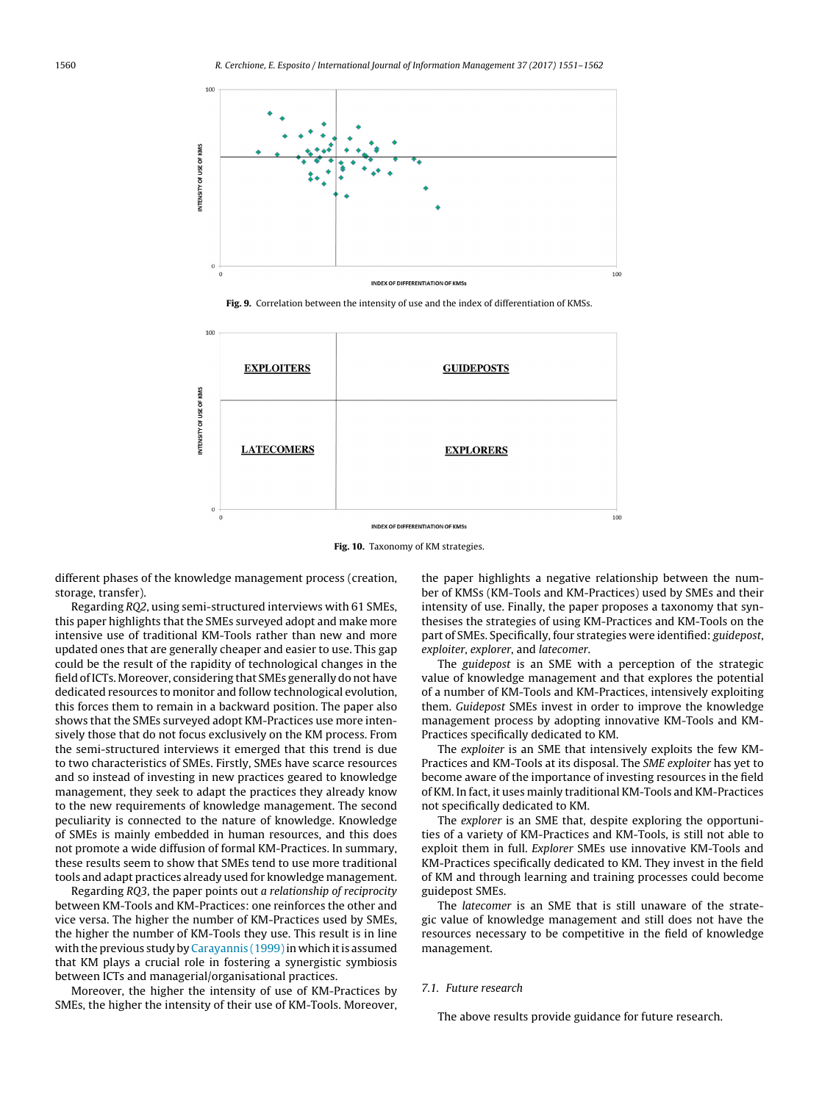<span id="page-9-0"></span>

**Fig. 9.** Correlation between the intensity of use and the index of differentiation of KMSs.



**Fig. 10.** Taxonomy of KM strategies.

different phases of the knowledge management process (creation, storage, transfer).

Regarding RQ2, using semi-structured interviews with 61 SMEs, this paper highlights that the SMEs surveyed adopt and make more intensive use of traditional KM-Tools rather than new and more updated ones that are generally cheaper and easier to use. This gap could be the result of the rapidity of technological changes in the field of ICTs. Moreover, considering that SMEs generally do not have dedicated resources to monitor and follow technological evolution, this forces them to remain in a backward position. The paper also shows that the SMEs surveyed adopt KM-Practices use more intensively those that do not focus exclusively on the KM process. From the semi-structured interviews it emerged that this trend is due to two characteristics of SMEs. Firstly, SMEs have scarce resources and so instead of investing in new practices geared to knowledge management, they seek to adapt the practices they already know to the new requirements of knowledge management. The second peculiarity is connected to the nature of knowledge. Knowledge of SMEs is mainly embedded in human resources, and this does not promote a wide diffusion of formal KM-Practices. In summary, these results seem to show that SMEs tend to use more traditional tools and adapt practices already used for knowledge management.

Regarding RQ3, the paper points out a relationship of reciprocity between KM-Tools and KM-Practices: one reinforces the other and vice versa. The higher the number of KM-Practices used by SMEs, the higher the number of KM-Tools they use. This result is in line with the previous study by [Carayannis](#page-10-0)  $(1999)$  in which it is assumed that KM plays a crucial role in fostering a synergistic symbiosis between ICTs and managerial/organisational practices.

Moreover, the higher the intensity of use of KM-Practices by SMEs, the higher the intensity of their use of KM-Tools. Moreover,

the paper highlights a negative relationship between the number of KMSs (KM-Tools and KM-Practices) used by SMEs and their intensity of use. Finally, the paper proposes a taxonomy that synthesises the strategies of using KM-Practices and KM-Tools on the part of SMEs. Specifically, four strategies were identified: guidepost, exploiter, explorer, and latecomer.

The guidepost is an SME with a perception of the strategic value of knowledge management and that explores the potential of a number of KM-Tools and KM-Practices, intensively exploiting them. Guidepost SMEs invest in order to improve the knowledge management process by adopting innovative KM-Tools and KM-Practices specifically dedicated to KM.

The exploiter is an SME that intensively exploits the few KM-Practices and KM-Tools at its disposal. The SME exploiter has yet to become aware of the importance of investing resources in the field of KM. In fact, it uses mainly traditional KM-Tools and KM-Practices not specifically dedicated to KM.

The explorer is an SME that, despite exploring the opportunities of a variety of KM-Practices and KM-Tools, is still not able to exploit them in full. Explorer SMEs use innovative KM-Tools and KM-Practices specifically dedicated to KM. They invest in the field of KM and through learning and training processes could become guidepost SMEs.

The latecomer is an SME that is still unaware of the strategic value of knowledge management and still does not have the resources necessary to be competitive in the field of knowledge management.

#### 7.1. Future research

The above results provide guidance for future research.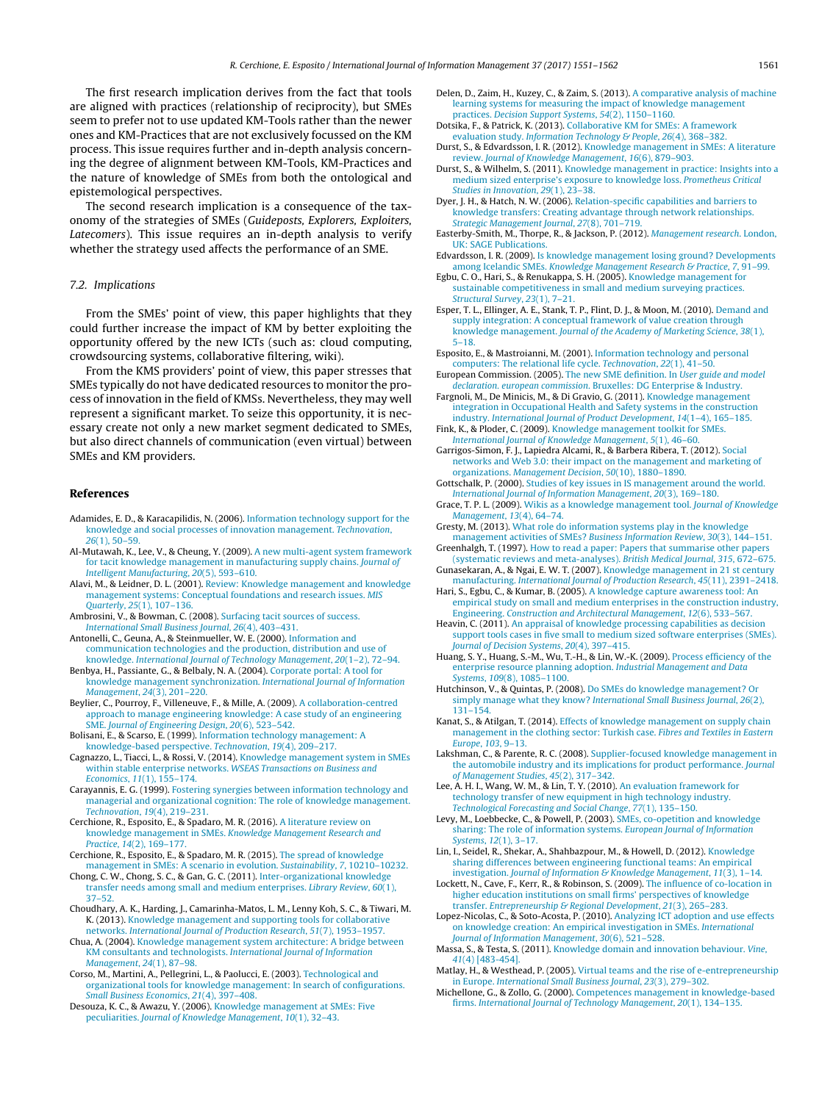<span id="page-10-0"></span>The first research implication derives from the fact that tools are aligned with practices (relationship of reciprocity), but SMEs seem to prefer not to use updated KM-Tools rather than the newer ones and KM-Practices that are not exclusively focussed on the KM process. This issue requires further and in-depth analysis concerning the degree of alignment between KM-Tools, KM-Practices and the nature of knowledge of SMEs from both the ontological and epistemological perspectives.

The second research implication is a consequence of the taxonomy of the strategies of SMEs (Guideposts, Explorers, Exploiters, Latecomers). This issue requires an in-depth analysis to verify whether the strategy used affects the performance of an SME.

## 7.2. Implications

From the SMEs' point of view, this paper highlights that they could further increase the impact of KM by better exploiting the opportunity offered by the new ICTs (such as: cloud computing, crowdsourcing systems, collaborative filtering, wiki).

From the KMS providers' point of view, this paper stresses that SMEs typically do not have dedicated resources to monitor the process of innovation in the field of KMSs. Nevertheless, they may well represent a significant market. To seize this opportunity, it is necessary create not only a new market segment dedicated to SMEs, but also direct channels of communication (even virtual) between SMEs and KM providers.

#### **References**

- Adamides, E. D., & Karacapilidis, N. (2006). [Information](http://refhub.elsevier.com/S0268-4012(16)30059-7/sbref0005) [technology](http://refhub.elsevier.com/S0268-4012(16)30059-7/sbref0005) [support](http://refhub.elsevier.com/S0268-4012(16)30059-7/sbref0005) [for](http://refhub.elsevier.com/S0268-4012(16)30059-7/sbref0005) [the](http://refhub.elsevier.com/S0268-4012(16)30059-7/sbref0005) [knowledge](http://refhub.elsevier.com/S0268-4012(16)30059-7/sbref0005) [and](http://refhub.elsevier.com/S0268-4012(16)30059-7/sbref0005) [social](http://refhub.elsevier.com/S0268-4012(16)30059-7/sbref0005) [processes](http://refhub.elsevier.com/S0268-4012(16)30059-7/sbref0005) [of](http://refhub.elsevier.com/S0268-4012(16)30059-7/sbref0005) [innovation](http://refhub.elsevier.com/S0268-4012(16)30059-7/sbref0005) [management.](http://refhub.elsevier.com/S0268-4012(16)30059-7/sbref0005) [Technovation](http://refhub.elsevier.com/S0268-4012(16)30059-7/sbref0005), [26](http://refhub.elsevier.com/S0268-4012(16)30059-7/sbref0005)[\(1\),](http://refhub.elsevier.com/S0268-4012(16)30059-7/sbref0005) [50](http://refhub.elsevier.com/S0268-4012(16)30059-7/sbref0005)–[59.](http://refhub.elsevier.com/S0268-4012(16)30059-7/sbref0005)
- Al-Mutawah, K., Lee, V., & Cheung, Y. (2009). [A](http://refhub.elsevier.com/S0268-4012(16)30059-7/sbref0010) [new](http://refhub.elsevier.com/S0268-4012(16)30059-7/sbref0010) [multi-agent](http://refhub.elsevier.com/S0268-4012(16)30059-7/sbref0010) [system](http://refhub.elsevier.com/S0268-4012(16)30059-7/sbref0010) [framework](http://refhub.elsevier.com/S0268-4012(16)30059-7/sbref0010) [for](http://refhub.elsevier.com/S0268-4012(16)30059-7/sbref0010) [tacit](http://refhub.elsevier.com/S0268-4012(16)30059-7/sbref0010) [knowledge](http://refhub.elsevier.com/S0268-4012(16)30059-7/sbref0010) [management](http://refhub.elsevier.com/S0268-4012(16)30059-7/sbref0010) [in](http://refhub.elsevier.com/S0268-4012(16)30059-7/sbref0010) [manufacturing](http://refhub.elsevier.com/S0268-4012(16)30059-7/sbref0010) [supply](http://refhub.elsevier.com/S0268-4012(16)30059-7/sbref0010) [chains.](http://refhub.elsevier.com/S0268-4012(16)30059-7/sbref0010) [Journal](http://refhub.elsevier.com/S0268-4012(16)30059-7/sbref0010) [of](http://refhub.elsevier.com/S0268-4012(16)30059-7/sbref0010) [Intelligent](http://refhub.elsevier.com/S0268-4012(16)30059-7/sbref0010) [Manufacturing](http://refhub.elsevier.com/S0268-4012(16)30059-7/sbref0010)[,](http://refhub.elsevier.com/S0268-4012(16)30059-7/sbref0010) [20](http://refhub.elsevier.com/S0268-4012(16)30059-7/sbref0010)[\(5\),](http://refhub.elsevier.com/S0268-4012(16)30059-7/sbref0010) [593](http://refhub.elsevier.com/S0268-4012(16)30059-7/sbref0010)–[610.](http://refhub.elsevier.com/S0268-4012(16)30059-7/sbref0010)
- Alavi, M., & Leidner, D. L. (2001). [Review:](http://refhub.elsevier.com/S0268-4012(16)30059-7/sbref0015) [Knowledge](http://refhub.elsevier.com/S0268-4012(16)30059-7/sbref0015) [management](http://refhub.elsevier.com/S0268-4012(16)30059-7/sbref0015) [and](http://refhub.elsevier.com/S0268-4012(16)30059-7/sbref0015) [knowledge](http://refhub.elsevier.com/S0268-4012(16)30059-7/sbref0015) [management](http://refhub.elsevier.com/S0268-4012(16)30059-7/sbref0015) [systems:](http://refhub.elsevier.com/S0268-4012(16)30059-7/sbref0015) [Conceptual](http://refhub.elsevier.com/S0268-4012(16)30059-7/sbref0015) [foundations](http://refhub.elsevier.com/S0268-4012(16)30059-7/sbref0015) [and](http://refhub.elsevier.com/S0268-4012(16)30059-7/sbref0015) [research](http://refhub.elsevier.com/S0268-4012(16)30059-7/sbref0015) [issues.](http://refhub.elsevier.com/S0268-4012(16)30059-7/sbref0015) [MIS](http://refhub.elsevier.com/S0268-4012(16)30059-7/sbref0015) [Quarterly](http://refhub.elsevier.com/S0268-4012(16)30059-7/sbref0015)[,](http://refhub.elsevier.com/S0268-4012(16)30059-7/sbref0015) [25](http://refhub.elsevier.com/S0268-4012(16)30059-7/sbref0015)[\(1\),](http://refhub.elsevier.com/S0268-4012(16)30059-7/sbref0015) [107](http://refhub.elsevier.com/S0268-4012(16)30059-7/sbref0015)–[136.](http://refhub.elsevier.com/S0268-4012(16)30059-7/sbref0015)
- Ambrosini, V., & Bowman, C. (2008). [Surfacing](http://refhub.elsevier.com/S0268-4012(16)30059-7/sbref0020) [tacit](http://refhub.elsevier.com/S0268-4012(16)30059-7/sbref0020) [sources](http://refhub.elsevier.com/S0268-4012(16)30059-7/sbref0020) [of](http://refhub.elsevier.com/S0268-4012(16)30059-7/sbref0020) [success.](http://refhub.elsevier.com/S0268-4012(16)30059-7/sbref0020) [International](http://refhub.elsevier.com/S0268-4012(16)30059-7/sbref0020) [Small](http://refhub.elsevier.com/S0268-4012(16)30059-7/sbref0020) [Business](http://refhub.elsevier.com/S0268-4012(16)30059-7/sbref0020) [Journal](http://refhub.elsevier.com/S0268-4012(16)30059-7/sbref0020)[,](http://refhub.elsevier.com/S0268-4012(16)30059-7/sbref0020) [26](http://refhub.elsevier.com/S0268-4012(16)30059-7/sbref0020)[\(4\),](http://refhub.elsevier.com/S0268-4012(16)30059-7/sbref0020) [403](http://refhub.elsevier.com/S0268-4012(16)30059-7/sbref0020)–[431.](http://refhub.elsevier.com/S0268-4012(16)30059-7/sbref0020)
- Antonelli, C., Geuna, A., & Steinmueller, W. E. (2000). [Information](http://refhub.elsevier.com/S0268-4012(16)30059-7/sbref0025) [and](http://refhub.elsevier.com/S0268-4012(16)30059-7/sbref0025) [communication](http://refhub.elsevier.com/S0268-4012(16)30059-7/sbref0025) [technologies](http://refhub.elsevier.com/S0268-4012(16)30059-7/sbref0025) [and](http://refhub.elsevier.com/S0268-4012(16)30059-7/sbref0025) [the](http://refhub.elsevier.com/S0268-4012(16)30059-7/sbref0025) [production,](http://refhub.elsevier.com/S0268-4012(16)30059-7/sbref0025) [distribution](http://refhub.elsevier.com/S0268-4012(16)30059-7/sbref0025) [and](http://refhub.elsevier.com/S0268-4012(16)30059-7/sbref0025) [use](http://refhub.elsevier.com/S0268-4012(16)30059-7/sbref0025) [of](http://refhub.elsevier.com/S0268-4012(16)30059-7/sbref0025) [knowledge.](http://refhub.elsevier.com/S0268-4012(16)30059-7/sbref0025) [International](http://refhub.elsevier.com/S0268-4012(16)30059-7/sbref0025) [Journal](http://refhub.elsevier.com/S0268-4012(16)30059-7/sbref0025) [of](http://refhub.elsevier.com/S0268-4012(16)30059-7/sbref0025) [Technology](http://refhub.elsevier.com/S0268-4012(16)30059-7/sbref0025) [Management](http://refhub.elsevier.com/S0268-4012(16)30059-7/sbref0025)[,](http://refhub.elsevier.com/S0268-4012(16)30059-7/sbref0025) [20](http://refhub.elsevier.com/S0268-4012(16)30059-7/sbref0025)[\(1](http://refhub.elsevier.com/S0268-4012(16)30059-7/sbref0025)–[2\),](http://refhub.elsevier.com/S0268-4012(16)30059-7/sbref0025) [72](http://refhub.elsevier.com/S0268-4012(16)30059-7/sbref0025)–[94.](http://refhub.elsevier.com/S0268-4012(16)30059-7/sbref0025)
- Benbya, H., Passiante, G., & Belbaly, N. A. (2004). [Corporate](http://refhub.elsevier.com/S0268-4012(16)30059-7/sbref0030) [portal:](http://refhub.elsevier.com/S0268-4012(16)30059-7/sbref0030) [A](http://refhub.elsevier.com/S0268-4012(16)30059-7/sbref0030) [tool](http://refhub.elsevier.com/S0268-4012(16)30059-7/sbref0030) [for](http://refhub.elsevier.com/S0268-4012(16)30059-7/sbref0030) [knowledge](http://refhub.elsevier.com/S0268-4012(16)30059-7/sbref0030) [management](http://refhub.elsevier.com/S0268-4012(16)30059-7/sbref0030) [synchronization.](http://refhub.elsevier.com/S0268-4012(16)30059-7/sbref0030) [International](http://refhub.elsevier.com/S0268-4012(16)30059-7/sbref0030) [Journal](http://refhub.elsevier.com/S0268-4012(16)30059-7/sbref0030) [of](http://refhub.elsevier.com/S0268-4012(16)30059-7/sbref0030) [Information](http://refhub.elsevier.com/S0268-4012(16)30059-7/sbref0030) [Management](http://refhub.elsevier.com/S0268-4012(16)30059-7/sbref0030), [24](http://refhub.elsevier.com/S0268-4012(16)30059-7/sbref0030)[\(3\),](http://refhub.elsevier.com/S0268-4012(16)30059-7/sbref0030) [201](http://refhub.elsevier.com/S0268-4012(16)30059-7/sbref0030)–[220.](http://refhub.elsevier.com/S0268-4012(16)30059-7/sbref0030)
- Beylier, C., Pourroy, F., Villeneuve, F., & Mille, A. (2009). [A](http://refhub.elsevier.com/S0268-4012(16)30059-7/sbref0035) [collaboration-centred](http://refhub.elsevier.com/S0268-4012(16)30059-7/sbref0035) [approach](http://refhub.elsevier.com/S0268-4012(16)30059-7/sbref0035) [to](http://refhub.elsevier.com/S0268-4012(16)30059-7/sbref0035) [manage](http://refhub.elsevier.com/S0268-4012(16)30059-7/sbref0035) [engineering](http://refhub.elsevier.com/S0268-4012(16)30059-7/sbref0035) [knowledge:](http://refhub.elsevier.com/S0268-4012(16)30059-7/sbref0035) [A](http://refhub.elsevier.com/S0268-4012(16)30059-7/sbref0035) [case](http://refhub.elsevier.com/S0268-4012(16)30059-7/sbref0035) [study](http://refhub.elsevier.com/S0268-4012(16)30059-7/sbref0035) [of](http://refhub.elsevier.com/S0268-4012(16)30059-7/sbref0035) [an](http://refhub.elsevier.com/S0268-4012(16)30059-7/sbref0035) [engineering](http://refhub.elsevier.com/S0268-4012(16)30059-7/sbref0035) [SME.](http://refhub.elsevier.com/S0268-4012(16)30059-7/sbref0035) [Journal](http://refhub.elsevier.com/S0268-4012(16)30059-7/sbref0035) [of](http://refhub.elsevier.com/S0268-4012(16)30059-7/sbref0035) [Engineering](http://refhub.elsevier.com/S0268-4012(16)30059-7/sbref0035) [Design](http://refhub.elsevier.com/S0268-4012(16)30059-7/sbref0035), [20](http://refhub.elsevier.com/S0268-4012(16)30059-7/sbref0035)[\(6\),](http://refhub.elsevier.com/S0268-4012(16)30059-7/sbref0035) [523–542.](http://refhub.elsevier.com/S0268-4012(16)30059-7/sbref0035)
- Bolisani, E., & Scarso, E. (1999). [Information](http://refhub.elsevier.com/S0268-4012(16)30059-7/sbref0040) [technology](http://refhub.elsevier.com/S0268-4012(16)30059-7/sbref0040) [management:](http://refhub.elsevier.com/S0268-4012(16)30059-7/sbref0040) [A](http://refhub.elsevier.com/S0268-4012(16)30059-7/sbref0040) [knowledge-based](http://refhub.elsevier.com/S0268-4012(16)30059-7/sbref0040) [perspective.](http://refhub.elsevier.com/S0268-4012(16)30059-7/sbref0040) [Technovation](http://refhub.elsevier.com/S0268-4012(16)30059-7/sbref0040), [19](http://refhub.elsevier.com/S0268-4012(16)30059-7/sbref0040)[\(4\),](http://refhub.elsevier.com/S0268-4012(16)30059-7/sbref0040) [209–217.](http://refhub.elsevier.com/S0268-4012(16)30059-7/sbref0040)
- Cagnazzo, L., Tiacci, L., & Rossi, V. (2014). [Knowledge](http://refhub.elsevier.com/S0268-4012(16)30059-7/sbref0045) [management](http://refhub.elsevier.com/S0268-4012(16)30059-7/sbref0045) [system](http://refhub.elsevier.com/S0268-4012(16)30059-7/sbref0045) [in](http://refhub.elsevier.com/S0268-4012(16)30059-7/sbref0045) [SMEs](http://refhub.elsevier.com/S0268-4012(16)30059-7/sbref0045) [within](http://refhub.elsevier.com/S0268-4012(16)30059-7/sbref0045) [stable](http://refhub.elsevier.com/S0268-4012(16)30059-7/sbref0045) [enterprise](http://refhub.elsevier.com/S0268-4012(16)30059-7/sbref0045) [networks.](http://refhub.elsevier.com/S0268-4012(16)30059-7/sbref0045) [WSEAS](http://refhub.elsevier.com/S0268-4012(16)30059-7/sbref0045) [Transactions](http://refhub.elsevier.com/S0268-4012(16)30059-7/sbref0045) [on](http://refhub.elsevier.com/S0268-4012(16)30059-7/sbref0045) [Business](http://refhub.elsevier.com/S0268-4012(16)30059-7/sbref0045) [and](http://refhub.elsevier.com/S0268-4012(16)30059-7/sbref0045) [Economics](http://refhub.elsevier.com/S0268-4012(16)30059-7/sbref0045)[,](http://refhub.elsevier.com/S0268-4012(16)30059-7/sbref0045) [11](http://refhub.elsevier.com/S0268-4012(16)30059-7/sbref0045)[\(1\),](http://refhub.elsevier.com/S0268-4012(16)30059-7/sbref0045) [155–174.](http://refhub.elsevier.com/S0268-4012(16)30059-7/sbref0045)
- Carayannis, E. G. (1999). [Fostering](http://refhub.elsevier.com/S0268-4012(16)30059-7/sbref0050) [synergies](http://refhub.elsevier.com/S0268-4012(16)30059-7/sbref0050) [between](http://refhub.elsevier.com/S0268-4012(16)30059-7/sbref0050) [information](http://refhub.elsevier.com/S0268-4012(16)30059-7/sbref0050) [technology](http://refhub.elsevier.com/S0268-4012(16)30059-7/sbref0050) [and](http://refhub.elsevier.com/S0268-4012(16)30059-7/sbref0050) [managerial](http://refhub.elsevier.com/S0268-4012(16)30059-7/sbref0050) [and](http://refhub.elsevier.com/S0268-4012(16)30059-7/sbref0050) [organizational](http://refhub.elsevier.com/S0268-4012(16)30059-7/sbref0050) [cognition:](http://refhub.elsevier.com/S0268-4012(16)30059-7/sbref0050) [The](http://refhub.elsevier.com/S0268-4012(16)30059-7/sbref0050) [role](http://refhub.elsevier.com/S0268-4012(16)30059-7/sbref0050) [of](http://refhub.elsevier.com/S0268-4012(16)30059-7/sbref0050) [knowledge](http://refhub.elsevier.com/S0268-4012(16)30059-7/sbref0050) [management.](http://refhub.elsevier.com/S0268-4012(16)30059-7/sbref0050) [Technovation](http://refhub.elsevier.com/S0268-4012(16)30059-7/sbref0050)[,](http://refhub.elsevier.com/S0268-4012(16)30059-7/sbref0050) [19](http://refhub.elsevier.com/S0268-4012(16)30059-7/sbref0050)[\(4\),](http://refhub.elsevier.com/S0268-4012(16)30059-7/sbref0050) [219–231.](http://refhub.elsevier.com/S0268-4012(16)30059-7/sbref0050)
- Cerchione, R., Esposito, E., & Spadaro, M. R. (2016). [A](http://refhub.elsevier.com/S0268-4012(16)30059-7/sbref0055) [literature](http://refhub.elsevier.com/S0268-4012(16)30059-7/sbref0055) [review](http://refhub.elsevier.com/S0268-4012(16)30059-7/sbref0055) [on](http://refhub.elsevier.com/S0268-4012(16)30059-7/sbref0055) [knowledge](http://refhub.elsevier.com/S0268-4012(16)30059-7/sbref0055) [management](http://refhub.elsevier.com/S0268-4012(16)30059-7/sbref0055) [in](http://refhub.elsevier.com/S0268-4012(16)30059-7/sbref0055) [SMEs.](http://refhub.elsevier.com/S0268-4012(16)30059-7/sbref0055) [Knowledge](http://refhub.elsevier.com/S0268-4012(16)30059-7/sbref0055) [Management](http://refhub.elsevier.com/S0268-4012(16)30059-7/sbref0055) [Research](http://refhub.elsevier.com/S0268-4012(16)30059-7/sbref0055) [and](http://refhub.elsevier.com/S0268-4012(16)30059-7/sbref0055) [Practice](http://refhub.elsevier.com/S0268-4012(16)30059-7/sbref0055)[,](http://refhub.elsevier.com/S0268-4012(16)30059-7/sbref0055) [14](http://refhub.elsevier.com/S0268-4012(16)30059-7/sbref0055)[\(2\),](http://refhub.elsevier.com/S0268-4012(16)30059-7/sbref0055) [169–177.](http://refhub.elsevier.com/S0268-4012(16)30059-7/sbref0055)
- Cerchione, R., Esposito, E., & Spadaro, M. R. (2015). [The](http://refhub.elsevier.com/S0268-4012(16)30059-7/sbref0060) [spread](http://refhub.elsevier.com/S0268-4012(16)30059-7/sbref0060) [of](http://refhub.elsevier.com/S0268-4012(16)30059-7/sbref0060) [knowledge](http://refhub.elsevier.com/S0268-4012(16)30059-7/sbref0060) [management](http://refhub.elsevier.com/S0268-4012(16)30059-7/sbref0060) [in](http://refhub.elsevier.com/S0268-4012(16)30059-7/sbref0060) [SMEs:](http://refhub.elsevier.com/S0268-4012(16)30059-7/sbref0060) [A](http://refhub.elsevier.com/S0268-4012(16)30059-7/sbref0060) [scenario](http://refhub.elsevier.com/S0268-4012(16)30059-7/sbref0060) [in](http://refhub.elsevier.com/S0268-4012(16)30059-7/sbref0060) [evolution.](http://refhub.elsevier.com/S0268-4012(16)30059-7/sbref0060) [Sustainability](http://refhub.elsevier.com/S0268-4012(16)30059-7/sbref0060)[,](http://refhub.elsevier.com/S0268-4012(16)30059-7/sbref0060) [7](http://refhub.elsevier.com/S0268-4012(16)30059-7/sbref0060)[,](http://refhub.elsevier.com/S0268-4012(16)30059-7/sbref0060) [10210–10232.](http://refhub.elsevier.com/S0268-4012(16)30059-7/sbref0060)
- Chong, C. W., Chong, S. C., & Gan, G. C. (2011). [Inter-organizational](http://refhub.elsevier.com/S0268-4012(16)30059-7/sbref0065) [knowledge](http://refhub.elsevier.com/S0268-4012(16)30059-7/sbref0065) [transfer](http://refhub.elsevier.com/S0268-4012(16)30059-7/sbref0065) [needs](http://refhub.elsevier.com/S0268-4012(16)30059-7/sbref0065) [among](http://refhub.elsevier.com/S0268-4012(16)30059-7/sbref0065) [small](http://refhub.elsevier.com/S0268-4012(16)30059-7/sbref0065) [and](http://refhub.elsevier.com/S0268-4012(16)30059-7/sbref0065) [medium](http://refhub.elsevier.com/S0268-4012(16)30059-7/sbref0065) [enterprises.](http://refhub.elsevier.com/S0268-4012(16)30059-7/sbref0065) [Library](http://refhub.elsevier.com/S0268-4012(16)30059-7/sbref0065) [Review](http://refhub.elsevier.com/S0268-4012(16)30059-7/sbref0065)[,](http://refhub.elsevier.com/S0268-4012(16)30059-7/sbref0065) [60](http://refhub.elsevier.com/S0268-4012(16)30059-7/sbref0065)[\(1\),](http://refhub.elsevier.com/S0268-4012(16)30059-7/sbref0065) [37–52.](http://refhub.elsevier.com/S0268-4012(16)30059-7/sbref0065)
- Choudhary, A. K., Harding, J., Camarinha-Matos, L. M., Lenny Koh, S. C., & Tiwari, M. K. (2013). [Knowledge](http://refhub.elsevier.com/S0268-4012(16)30059-7/sbref0070) [management](http://refhub.elsevier.com/S0268-4012(16)30059-7/sbref0070) [and](http://refhub.elsevier.com/S0268-4012(16)30059-7/sbref0070) [supporting](http://refhub.elsevier.com/S0268-4012(16)30059-7/sbref0070) [tools](http://refhub.elsevier.com/S0268-4012(16)30059-7/sbref0070) [for](http://refhub.elsevier.com/S0268-4012(16)30059-7/sbref0070) [collaborative](http://refhub.elsevier.com/S0268-4012(16)30059-7/sbref0070) [networks.](http://refhub.elsevier.com/S0268-4012(16)30059-7/sbref0070) [International](http://refhub.elsevier.com/S0268-4012(16)30059-7/sbref0070) [Journal](http://refhub.elsevier.com/S0268-4012(16)30059-7/sbref0070) [of](http://refhub.elsevier.com/S0268-4012(16)30059-7/sbref0070) [Production](http://refhub.elsevier.com/S0268-4012(16)30059-7/sbref0070) [Research](http://refhub.elsevier.com/S0268-4012(16)30059-7/sbref0070)[,](http://refhub.elsevier.com/S0268-4012(16)30059-7/sbref0070) [51](http://refhub.elsevier.com/S0268-4012(16)30059-7/sbref0070)[\(7\),](http://refhub.elsevier.com/S0268-4012(16)30059-7/sbref0070) [1953](http://refhub.elsevier.com/S0268-4012(16)30059-7/sbref0070)–[1957.](http://refhub.elsevier.com/S0268-4012(16)30059-7/sbref0070)
- Chua, A. (2004). [Knowledge](http://refhub.elsevier.com/S0268-4012(16)30059-7/sbref0075) [management](http://refhub.elsevier.com/S0268-4012(16)30059-7/sbref0075) [system](http://refhub.elsevier.com/S0268-4012(16)30059-7/sbref0075) [architecture:](http://refhub.elsevier.com/S0268-4012(16)30059-7/sbref0075) [A](http://refhub.elsevier.com/S0268-4012(16)30059-7/sbref0075) [bridge](http://refhub.elsevier.com/S0268-4012(16)30059-7/sbref0075) [between](http://refhub.elsevier.com/S0268-4012(16)30059-7/sbref0075) [KM](http://refhub.elsevier.com/S0268-4012(16)30059-7/sbref0075) [consultants](http://refhub.elsevier.com/S0268-4012(16)30059-7/sbref0075) [and](http://refhub.elsevier.com/S0268-4012(16)30059-7/sbref0075) [technologists.](http://refhub.elsevier.com/S0268-4012(16)30059-7/sbref0075) [International](http://refhub.elsevier.com/S0268-4012(16)30059-7/sbref0075) [Journal](http://refhub.elsevier.com/S0268-4012(16)30059-7/sbref0075) [of](http://refhub.elsevier.com/S0268-4012(16)30059-7/sbref0075) [Information](http://refhub.elsevier.com/S0268-4012(16)30059-7/sbref0075) [Management](http://refhub.elsevier.com/S0268-4012(16)30059-7/sbref0075), [24](http://refhub.elsevier.com/S0268-4012(16)30059-7/sbref0075)[\(1\),](http://refhub.elsevier.com/S0268-4012(16)30059-7/sbref0075) [87–98.](http://refhub.elsevier.com/S0268-4012(16)30059-7/sbref0075)
- Corso, M., Martini, A., Pellegrini, L., & Paolucci, E. (2003). [Technological](http://refhub.elsevier.com/S0268-4012(16)30059-7/sbref0080) [and](http://refhub.elsevier.com/S0268-4012(16)30059-7/sbref0080) [organizational](http://refhub.elsevier.com/S0268-4012(16)30059-7/sbref0080) [tools](http://refhub.elsevier.com/S0268-4012(16)30059-7/sbref0080) [for](http://refhub.elsevier.com/S0268-4012(16)30059-7/sbref0080) [knowledge](http://refhub.elsevier.com/S0268-4012(16)30059-7/sbref0080) [management:](http://refhub.elsevier.com/S0268-4012(16)30059-7/sbref0080) [In](http://refhub.elsevier.com/S0268-4012(16)30059-7/sbref0080) [search](http://refhub.elsevier.com/S0268-4012(16)30059-7/sbref0080) [of](http://refhub.elsevier.com/S0268-4012(16)30059-7/sbref0080) [configurations.](http://refhub.elsevier.com/S0268-4012(16)30059-7/sbref0080) [Small](http://refhub.elsevier.com/S0268-4012(16)30059-7/sbref0080) [Business](http://refhub.elsevier.com/S0268-4012(16)30059-7/sbref0080) [Economics](http://refhub.elsevier.com/S0268-4012(16)30059-7/sbref0080)[,](http://refhub.elsevier.com/S0268-4012(16)30059-7/sbref0080) [21](http://refhub.elsevier.com/S0268-4012(16)30059-7/sbref0080)[\(4\),](http://refhub.elsevier.com/S0268-4012(16)30059-7/sbref0080) [397](http://refhub.elsevier.com/S0268-4012(16)30059-7/sbref0080)–[408.](http://refhub.elsevier.com/S0268-4012(16)30059-7/sbref0080)
- Desouza, K. C., & Awazu, Y. (2006). [Knowledge](http://refhub.elsevier.com/S0268-4012(16)30059-7/sbref0085) [management](http://refhub.elsevier.com/S0268-4012(16)30059-7/sbref0085) [at](http://refhub.elsevier.com/S0268-4012(16)30059-7/sbref0085) [SMEs:](http://refhub.elsevier.com/S0268-4012(16)30059-7/sbref0085) [Five](http://refhub.elsevier.com/S0268-4012(16)30059-7/sbref0085) [peculiarities.](http://refhub.elsevier.com/S0268-4012(16)30059-7/sbref0085) [Journal](http://refhub.elsevier.com/S0268-4012(16)30059-7/sbref0085) [of](http://refhub.elsevier.com/S0268-4012(16)30059-7/sbref0085) [Knowledge](http://refhub.elsevier.com/S0268-4012(16)30059-7/sbref0085) [Management](http://refhub.elsevier.com/S0268-4012(16)30059-7/sbref0085)[,](http://refhub.elsevier.com/S0268-4012(16)30059-7/sbref0085) [10](http://refhub.elsevier.com/S0268-4012(16)30059-7/sbref0085)[\(1\),](http://refhub.elsevier.com/S0268-4012(16)30059-7/sbref0085) [32](http://refhub.elsevier.com/S0268-4012(16)30059-7/sbref0085)–[43.](http://refhub.elsevier.com/S0268-4012(16)30059-7/sbref0085)
- Delen, D., Zaim, H., Kuzey, C., & Zaim, S. (2013). [A](http://refhub.elsevier.com/S0268-4012(16)30059-7/sbref0090) [comparative](http://refhub.elsevier.com/S0268-4012(16)30059-7/sbref0090) [analysis](http://refhub.elsevier.com/S0268-4012(16)30059-7/sbref0090) [of](http://refhub.elsevier.com/S0268-4012(16)30059-7/sbref0090) [machine](http://refhub.elsevier.com/S0268-4012(16)30059-7/sbref0090) [learning](http://refhub.elsevier.com/S0268-4012(16)30059-7/sbref0090) [systems](http://refhub.elsevier.com/S0268-4012(16)30059-7/sbref0090) [for](http://refhub.elsevier.com/S0268-4012(16)30059-7/sbref0090) [measuring](http://refhub.elsevier.com/S0268-4012(16)30059-7/sbref0090) [the](http://refhub.elsevier.com/S0268-4012(16)30059-7/sbref0090) [impact](http://refhub.elsevier.com/S0268-4012(16)30059-7/sbref0090) [of](http://refhub.elsevier.com/S0268-4012(16)30059-7/sbref0090) [knowledge](http://refhub.elsevier.com/S0268-4012(16)30059-7/sbref0090) [management](http://refhub.elsevier.com/S0268-4012(16)30059-7/sbref0090) [practices.](http://refhub.elsevier.com/S0268-4012(16)30059-7/sbref0090) [Decision](http://refhub.elsevier.com/S0268-4012(16)30059-7/sbref0090) [Support](http://refhub.elsevier.com/S0268-4012(16)30059-7/sbref0090) [Systems](http://refhub.elsevier.com/S0268-4012(16)30059-7/sbref0090)[,](http://refhub.elsevier.com/S0268-4012(16)30059-7/sbref0090) [54](http://refhub.elsevier.com/S0268-4012(16)30059-7/sbref0090)[\(2\),](http://refhub.elsevier.com/S0268-4012(16)30059-7/sbref0090) [1150–1160.](http://refhub.elsevier.com/S0268-4012(16)30059-7/sbref0090)
- Dotsika, F., & Patrick, K. (2013). [Collaborative](http://refhub.elsevier.com/S0268-4012(16)30059-7/sbref0095) [KM](http://refhub.elsevier.com/S0268-4012(16)30059-7/sbref0095) [for](http://refhub.elsevier.com/S0268-4012(16)30059-7/sbref0095) [SMEs:](http://refhub.elsevier.com/S0268-4012(16)30059-7/sbref0095) [A](http://refhub.elsevier.com/S0268-4012(16)30059-7/sbref0095) [framework](http://refhub.elsevier.com/S0268-4012(16)30059-7/sbref0095) [evaluation](http://refhub.elsevier.com/S0268-4012(16)30059-7/sbref0095) [study.](http://refhub.elsevier.com/S0268-4012(16)30059-7/sbref0095) [Information](http://refhub.elsevier.com/S0268-4012(16)30059-7/sbref0095) [Technology](http://refhub.elsevier.com/S0268-4012(16)30059-7/sbref0095) [&](http://refhub.elsevier.com/S0268-4012(16)30059-7/sbref0095) [People](http://refhub.elsevier.com/S0268-4012(16)30059-7/sbref0095)[,](http://refhub.elsevier.com/S0268-4012(16)30059-7/sbref0095) [26](http://refhub.elsevier.com/S0268-4012(16)30059-7/sbref0095)[\(4\),](http://refhub.elsevier.com/S0268-4012(16)30059-7/sbref0095) [368](http://refhub.elsevier.com/S0268-4012(16)30059-7/sbref0095)–[382.](http://refhub.elsevier.com/S0268-4012(16)30059-7/sbref0095)
- Durst, S., & Edvardsson, I. R. (2012). [Knowledge](http://refhub.elsevier.com/S0268-4012(16)30059-7/sbref0100) [management](http://refhub.elsevier.com/S0268-4012(16)30059-7/sbref0100) [in](http://refhub.elsevier.com/S0268-4012(16)30059-7/sbref0100) [SMEs:](http://refhub.elsevier.com/S0268-4012(16)30059-7/sbref0100) [A](http://refhub.elsevier.com/S0268-4012(16)30059-7/sbref0100) [literature](http://refhub.elsevier.com/S0268-4012(16)30059-7/sbref0100) [review.](http://refhub.elsevier.com/S0268-4012(16)30059-7/sbref0100) [Journal](http://refhub.elsevier.com/S0268-4012(16)30059-7/sbref0100) [of](http://refhub.elsevier.com/S0268-4012(16)30059-7/sbref0100) [Knowledge](http://refhub.elsevier.com/S0268-4012(16)30059-7/sbref0100) [Management](http://refhub.elsevier.com/S0268-4012(16)30059-7/sbref0100)[,](http://refhub.elsevier.com/S0268-4012(16)30059-7/sbref0100) [16](http://refhub.elsevier.com/S0268-4012(16)30059-7/sbref0100)[\(6\),](http://refhub.elsevier.com/S0268-4012(16)30059-7/sbref0100) [879](http://refhub.elsevier.com/S0268-4012(16)30059-7/sbref0100)–[903.](http://refhub.elsevier.com/S0268-4012(16)30059-7/sbref0100)
- Durst, S., & Wilhelm, S. (2011). [Knowledge](http://refhub.elsevier.com/S0268-4012(16)30059-7/sbref0105) [management](http://refhub.elsevier.com/S0268-4012(16)30059-7/sbref0105) [in](http://refhub.elsevier.com/S0268-4012(16)30059-7/sbref0105) [practice:](http://refhub.elsevier.com/S0268-4012(16)30059-7/sbref0105) [Insights](http://refhub.elsevier.com/S0268-4012(16)30059-7/sbref0105) [into](http://refhub.elsevier.com/S0268-4012(16)30059-7/sbref0105) [a](http://refhub.elsevier.com/S0268-4012(16)30059-7/sbref0105) [medium](http://refhub.elsevier.com/S0268-4012(16)30059-7/sbref0105) [sized](http://refhub.elsevier.com/S0268-4012(16)30059-7/sbref0105) [enterprise's](http://refhub.elsevier.com/S0268-4012(16)30059-7/sbref0105) [exposure](http://refhub.elsevier.com/S0268-4012(16)30059-7/sbref0105) [to](http://refhub.elsevier.com/S0268-4012(16)30059-7/sbref0105) [knowledge](http://refhub.elsevier.com/S0268-4012(16)30059-7/sbref0105) [loss.](http://refhub.elsevier.com/S0268-4012(16)30059-7/sbref0105) [Prometheus](http://refhub.elsevier.com/S0268-4012(16)30059-7/sbref0105) [Critical](http://refhub.elsevier.com/S0268-4012(16)30059-7/sbref0105) [Studies](http://refhub.elsevier.com/S0268-4012(16)30059-7/sbref0105) [in](http://refhub.elsevier.com/S0268-4012(16)30059-7/sbref0105) [Innovation](http://refhub.elsevier.com/S0268-4012(16)30059-7/sbref0105)[,](http://refhub.elsevier.com/S0268-4012(16)30059-7/sbref0105) [29](http://refhub.elsevier.com/S0268-4012(16)30059-7/sbref0105)[\(1\),](http://refhub.elsevier.com/S0268-4012(16)30059-7/sbref0105) [23](http://refhub.elsevier.com/S0268-4012(16)30059-7/sbref0105)–[38.](http://refhub.elsevier.com/S0268-4012(16)30059-7/sbref0105)
- Dyer, J. H., & Hatch, N. W. (2006). [Relation-specific](http://refhub.elsevier.com/S0268-4012(16)30059-7/sbref0110) [capabilities](http://refhub.elsevier.com/S0268-4012(16)30059-7/sbref0110) [and](http://refhub.elsevier.com/S0268-4012(16)30059-7/sbref0110) [barriers](http://refhub.elsevier.com/S0268-4012(16)30059-7/sbref0110) [to](http://refhub.elsevier.com/S0268-4012(16)30059-7/sbref0110) [knowledge](http://refhub.elsevier.com/S0268-4012(16)30059-7/sbref0110) [transfers:](http://refhub.elsevier.com/S0268-4012(16)30059-7/sbref0110) [Creating](http://refhub.elsevier.com/S0268-4012(16)30059-7/sbref0110) [advantage](http://refhub.elsevier.com/S0268-4012(16)30059-7/sbref0110) [through](http://refhub.elsevier.com/S0268-4012(16)30059-7/sbref0110) [network](http://refhub.elsevier.com/S0268-4012(16)30059-7/sbref0110) [relationships.](http://refhub.elsevier.com/S0268-4012(16)30059-7/sbref0110) [Strategic](http://refhub.elsevier.com/S0268-4012(16)30059-7/sbref0110) [Management](http://refhub.elsevier.com/S0268-4012(16)30059-7/sbref0110) [Journal](http://refhub.elsevier.com/S0268-4012(16)30059-7/sbref0110)[,](http://refhub.elsevier.com/S0268-4012(16)30059-7/sbref0110) [27](http://refhub.elsevier.com/S0268-4012(16)30059-7/sbref0110)[\(8\),](http://refhub.elsevier.com/S0268-4012(16)30059-7/sbref0110) [701–719.](http://refhub.elsevier.com/S0268-4012(16)30059-7/sbref0110)
- Easterby-Smith, M., Thorpe, R., & Jackson, P. (2012). [Management](http://refhub.elsevier.com/S0268-4012(16)30059-7/sbref0115) [research](http://refhub.elsevier.com/S0268-4012(16)30059-7/sbref0115). [London,](http://refhub.elsevier.com/S0268-4012(16)30059-7/sbref0115) [UK:](http://refhub.elsevier.com/S0268-4012(16)30059-7/sbref0115) [SAGE](http://refhub.elsevier.com/S0268-4012(16)30059-7/sbref0115) [Publications.](http://refhub.elsevier.com/S0268-4012(16)30059-7/sbref0115)
- Edvardsson, I. R. (2009). [Is](http://refhub.elsevier.com/S0268-4012(16)30059-7/sbref0120) [knowledge](http://refhub.elsevier.com/S0268-4012(16)30059-7/sbref0120) [management](http://refhub.elsevier.com/S0268-4012(16)30059-7/sbref0120) [losing](http://refhub.elsevier.com/S0268-4012(16)30059-7/sbref0120) [ground?](http://refhub.elsevier.com/S0268-4012(16)30059-7/sbref0120) [Developments](http://refhub.elsevier.com/S0268-4012(16)30059-7/sbref0120) [among](http://refhub.elsevier.com/S0268-4012(16)30059-7/sbref0120) [Icelandic](http://refhub.elsevier.com/S0268-4012(16)30059-7/sbref0120) [SMEs.](http://refhub.elsevier.com/S0268-4012(16)30059-7/sbref0120) [Knowledge](http://refhub.elsevier.com/S0268-4012(16)30059-7/sbref0120) [Management](http://refhub.elsevier.com/S0268-4012(16)30059-7/sbref0120) [Research](http://refhub.elsevier.com/S0268-4012(16)30059-7/sbref0120) [&](http://refhub.elsevier.com/S0268-4012(16)30059-7/sbref0120) [Practice](http://refhub.elsevier.com/S0268-4012(16)30059-7/sbref0120)[,](http://refhub.elsevier.com/S0268-4012(16)30059-7/sbref0120) [7](http://refhub.elsevier.com/S0268-4012(16)30059-7/sbref0120)[,](http://refhub.elsevier.com/S0268-4012(16)30059-7/sbref0120) [91–99.](http://refhub.elsevier.com/S0268-4012(16)30059-7/sbref0120)
- Egbu, C. O., Hari, S., & Renukappa, S. H. (2005). [Knowledge](http://refhub.elsevier.com/S0268-4012(16)30059-7/sbref0125) [management](http://refhub.elsevier.com/S0268-4012(16)30059-7/sbref0125) [for](http://refhub.elsevier.com/S0268-4012(16)30059-7/sbref0125) [sustainable](http://refhub.elsevier.com/S0268-4012(16)30059-7/sbref0125) [competitiveness](http://refhub.elsevier.com/S0268-4012(16)30059-7/sbref0125) [in](http://refhub.elsevier.com/S0268-4012(16)30059-7/sbref0125) [small](http://refhub.elsevier.com/S0268-4012(16)30059-7/sbref0125) [and](http://refhub.elsevier.com/S0268-4012(16)30059-7/sbref0125) [medium](http://refhub.elsevier.com/S0268-4012(16)30059-7/sbref0125) [surveying](http://refhub.elsevier.com/S0268-4012(16)30059-7/sbref0125) [practices.](http://refhub.elsevier.com/S0268-4012(16)30059-7/sbref0125) [Structural](http://refhub.elsevier.com/S0268-4012(16)30059-7/sbref0125) [Survey](http://refhub.elsevier.com/S0268-4012(16)30059-7/sbref0125)[,](http://refhub.elsevier.com/S0268-4012(16)30059-7/sbref0125) [23](http://refhub.elsevier.com/S0268-4012(16)30059-7/sbref0125)[\(1\),](http://refhub.elsevier.com/S0268-4012(16)30059-7/sbref0125) [7–21.](http://refhub.elsevier.com/S0268-4012(16)30059-7/sbref0125)
- Esper, T. L., Ellinger, A. E., Stank, T. P., Flint, D. J., & Moon, M. (2010). [Demand](http://refhub.elsevier.com/S0268-4012(16)30059-7/sbref0130) [and](http://refhub.elsevier.com/S0268-4012(16)30059-7/sbref0130) [supply](http://refhub.elsevier.com/S0268-4012(16)30059-7/sbref0130) [integration:](http://refhub.elsevier.com/S0268-4012(16)30059-7/sbref0130) [A](http://refhub.elsevier.com/S0268-4012(16)30059-7/sbref0130) [conceptual](http://refhub.elsevier.com/S0268-4012(16)30059-7/sbref0130) [framework](http://refhub.elsevier.com/S0268-4012(16)30059-7/sbref0130) [of](http://refhub.elsevier.com/S0268-4012(16)30059-7/sbref0130) [value](http://refhub.elsevier.com/S0268-4012(16)30059-7/sbref0130) [creation](http://refhub.elsevier.com/S0268-4012(16)30059-7/sbref0130) [through](http://refhub.elsevier.com/S0268-4012(16)30059-7/sbref0130) [knowledge](http://refhub.elsevier.com/S0268-4012(16)30059-7/sbref0130) [management.](http://refhub.elsevier.com/S0268-4012(16)30059-7/sbref0130) [Journal](http://refhub.elsevier.com/S0268-4012(16)30059-7/sbref0130) [of](http://refhub.elsevier.com/S0268-4012(16)30059-7/sbref0130) [the](http://refhub.elsevier.com/S0268-4012(16)30059-7/sbref0130) [Academy](http://refhub.elsevier.com/S0268-4012(16)30059-7/sbref0130) [of](http://refhub.elsevier.com/S0268-4012(16)30059-7/sbref0130) [Marketing](http://refhub.elsevier.com/S0268-4012(16)30059-7/sbref0130) [Science](http://refhub.elsevier.com/S0268-4012(16)30059-7/sbref0130)[,](http://refhub.elsevier.com/S0268-4012(16)30059-7/sbref0130) [38](http://refhub.elsevier.com/S0268-4012(16)30059-7/sbref0130)[\(1\),](http://refhub.elsevier.com/S0268-4012(16)30059-7/sbref0130) [5–18.](http://refhub.elsevier.com/S0268-4012(16)30059-7/sbref0130)
- Esposito, E., & Mastroianni, M. (2001). [Information](http://refhub.elsevier.com/S0268-4012(16)30059-7/sbref0135) [technology](http://refhub.elsevier.com/S0268-4012(16)30059-7/sbref0135) [and](http://refhub.elsevier.com/S0268-4012(16)30059-7/sbref0135) [personal](http://refhub.elsevier.com/S0268-4012(16)30059-7/sbref0135) [computers:](http://refhub.elsevier.com/S0268-4012(16)30059-7/sbref0135) [The](http://refhub.elsevier.com/S0268-4012(16)30059-7/sbref0135) [relational](http://refhub.elsevier.com/S0268-4012(16)30059-7/sbref0135) [life](http://refhub.elsevier.com/S0268-4012(16)30059-7/sbref0135) [cycle.](http://refhub.elsevier.com/S0268-4012(16)30059-7/sbref0135) [Technovation](http://refhub.elsevier.com/S0268-4012(16)30059-7/sbref0135)[,](http://refhub.elsevier.com/S0268-4012(16)30059-7/sbref0135) [22](http://refhub.elsevier.com/S0268-4012(16)30059-7/sbref0135)[\(1\),](http://refhub.elsevier.com/S0268-4012(16)30059-7/sbref0135) [41](http://refhub.elsevier.com/S0268-4012(16)30059-7/sbref0135)–[50.](http://refhub.elsevier.com/S0268-4012(16)30059-7/sbref0135)
- European Commission. (2005). [The](http://refhub.elsevier.com/S0268-4012(16)30059-7/sbref0140) [new](http://refhub.elsevier.com/S0268-4012(16)30059-7/sbref0140) [SME](http://refhub.elsevier.com/S0268-4012(16)30059-7/sbref0140) [definition.](http://refhub.elsevier.com/S0268-4012(16)30059-7/sbref0140) [In](http://refhub.elsevier.com/S0268-4012(16)30059-7/sbref0140) [User](http://refhub.elsevier.com/S0268-4012(16)30059-7/sbref0140) [guide](http://refhub.elsevier.com/S0268-4012(16)30059-7/sbref0140) [and](http://refhub.elsevier.com/S0268-4012(16)30059-7/sbref0140) [model](http://refhub.elsevier.com/S0268-4012(16)30059-7/sbref0140) [declaration.](http://refhub.elsevier.com/S0268-4012(16)30059-7/sbref0140) [european](http://refhub.elsevier.com/S0268-4012(16)30059-7/sbref0140) [commission](http://refhub.elsevier.com/S0268-4012(16)30059-7/sbref0140)[.](http://refhub.elsevier.com/S0268-4012(16)30059-7/sbref0140) [Bruxelles:](http://refhub.elsevier.com/S0268-4012(16)30059-7/sbref0140) [DG](http://refhub.elsevier.com/S0268-4012(16)30059-7/sbref0140) [Enterprise](http://refhub.elsevier.com/S0268-4012(16)30059-7/sbref0140) [&](http://refhub.elsevier.com/S0268-4012(16)30059-7/sbref0140) [Industry.](http://refhub.elsevier.com/S0268-4012(16)30059-7/sbref0140)
- Fargnoli, M., De Minicis, M., & Di Gravio, G. (2011). [Knowledge](http://refhub.elsevier.com/S0268-4012(16)30059-7/sbref0145) [management](http://refhub.elsevier.com/S0268-4012(16)30059-7/sbref0145) [integration](http://refhub.elsevier.com/S0268-4012(16)30059-7/sbref0145) [in](http://refhub.elsevier.com/S0268-4012(16)30059-7/sbref0145) [Occupational](http://refhub.elsevier.com/S0268-4012(16)30059-7/sbref0145) [Health](http://refhub.elsevier.com/S0268-4012(16)30059-7/sbref0145) [and](http://refhub.elsevier.com/S0268-4012(16)30059-7/sbref0145) [Safety](http://refhub.elsevier.com/S0268-4012(16)30059-7/sbref0145) [systems](http://refhub.elsevier.com/S0268-4012(16)30059-7/sbref0145) [in](http://refhub.elsevier.com/S0268-4012(16)30059-7/sbref0145) [the](http://refhub.elsevier.com/S0268-4012(16)30059-7/sbref0145) [construction](http://refhub.elsevier.com/S0268-4012(16)30059-7/sbref0145) [industry.](http://refhub.elsevier.com/S0268-4012(16)30059-7/sbref0145) [International](http://refhub.elsevier.com/S0268-4012(16)30059-7/sbref0145) [Journal](http://refhub.elsevier.com/S0268-4012(16)30059-7/sbref0145) [of](http://refhub.elsevier.com/S0268-4012(16)30059-7/sbref0145) [Product](http://refhub.elsevier.com/S0268-4012(16)30059-7/sbref0145) [Development](http://refhub.elsevier.com/S0268-4012(16)30059-7/sbref0145)[,](http://refhub.elsevier.com/S0268-4012(16)30059-7/sbref0145) [14](http://refhub.elsevier.com/S0268-4012(16)30059-7/sbref0145)[\(1](http://refhub.elsevier.com/S0268-4012(16)30059-7/sbref0145)–[4\),](http://refhub.elsevier.com/S0268-4012(16)30059-7/sbref0145) [165](http://refhub.elsevier.com/S0268-4012(16)30059-7/sbref0145)–[185.](http://refhub.elsevier.com/S0268-4012(16)30059-7/sbref0145)
- Fink, K., & Ploder, C. (2009). [Knowledge](http://refhub.elsevier.com/S0268-4012(16)30059-7/sbref0150) [management](http://refhub.elsevier.com/S0268-4012(16)30059-7/sbref0150) [toolkit](http://refhub.elsevier.com/S0268-4012(16)30059-7/sbref0150) [for](http://refhub.elsevier.com/S0268-4012(16)30059-7/sbref0150) [SMEs.](http://refhub.elsevier.com/S0268-4012(16)30059-7/sbref0150) [International](http://refhub.elsevier.com/S0268-4012(16)30059-7/sbref0150) [Journal](http://refhub.elsevier.com/S0268-4012(16)30059-7/sbref0150) [of](http://refhub.elsevier.com/S0268-4012(16)30059-7/sbref0150) [Knowledge](http://refhub.elsevier.com/S0268-4012(16)30059-7/sbref0150) [Management](http://refhub.elsevier.com/S0268-4012(16)30059-7/sbref0150)[,](http://refhub.elsevier.com/S0268-4012(16)30059-7/sbref0150) [5](http://refhub.elsevier.com/S0268-4012(16)30059-7/sbref0150)[\(1\),](http://refhub.elsevier.com/S0268-4012(16)30059-7/sbref0150) [46–60.](http://refhub.elsevier.com/S0268-4012(16)30059-7/sbref0150)
- Garrigos-Simon, F. J., Lapiedra Alcami, R., & Barbera Ribera, T. (2012). [Social](http://refhub.elsevier.com/S0268-4012(16)30059-7/sbref0155) [networks](http://refhub.elsevier.com/S0268-4012(16)30059-7/sbref0155) [and](http://refhub.elsevier.com/S0268-4012(16)30059-7/sbref0155) [Web](http://refhub.elsevier.com/S0268-4012(16)30059-7/sbref0155) [3.0:](http://refhub.elsevier.com/S0268-4012(16)30059-7/sbref0155) [their](http://refhub.elsevier.com/S0268-4012(16)30059-7/sbref0155) [impact](http://refhub.elsevier.com/S0268-4012(16)30059-7/sbref0155) [on](http://refhub.elsevier.com/S0268-4012(16)30059-7/sbref0155) [the](http://refhub.elsevier.com/S0268-4012(16)30059-7/sbref0155) [management](http://refhub.elsevier.com/S0268-4012(16)30059-7/sbref0155) [and](http://refhub.elsevier.com/S0268-4012(16)30059-7/sbref0155) [marketing](http://refhub.elsevier.com/S0268-4012(16)30059-7/sbref0155) [of](http://refhub.elsevier.com/S0268-4012(16)30059-7/sbref0155) [organizations.](http://refhub.elsevier.com/S0268-4012(16)30059-7/sbref0155) [Management](http://refhub.elsevier.com/S0268-4012(16)30059-7/sbref0155) [Decision](http://refhub.elsevier.com/S0268-4012(16)30059-7/sbref0155)[,](http://refhub.elsevier.com/S0268-4012(16)30059-7/sbref0155) [50](http://refhub.elsevier.com/S0268-4012(16)30059-7/sbref0155)[\(10\),](http://refhub.elsevier.com/S0268-4012(16)30059-7/sbref0155) [1880](http://refhub.elsevier.com/S0268-4012(16)30059-7/sbref0155)–[1890.](http://refhub.elsevier.com/S0268-4012(16)30059-7/sbref0155)
- Gottschalk, P. (2000). [Studies](http://refhub.elsevier.com/S0268-4012(16)30059-7/sbref0160) [of](http://refhub.elsevier.com/S0268-4012(16)30059-7/sbref0160) [key](http://refhub.elsevier.com/S0268-4012(16)30059-7/sbref0160) [issues](http://refhub.elsevier.com/S0268-4012(16)30059-7/sbref0160) [in](http://refhub.elsevier.com/S0268-4012(16)30059-7/sbref0160) [IS](http://refhub.elsevier.com/S0268-4012(16)30059-7/sbref0160) [management](http://refhub.elsevier.com/S0268-4012(16)30059-7/sbref0160) [around](http://refhub.elsevier.com/S0268-4012(16)30059-7/sbref0160) [the](http://refhub.elsevier.com/S0268-4012(16)30059-7/sbref0160) [world.](http://refhub.elsevier.com/S0268-4012(16)30059-7/sbref0160) [International](http://refhub.elsevier.com/S0268-4012(16)30059-7/sbref0160) [Journal](http://refhub.elsevier.com/S0268-4012(16)30059-7/sbref0160) [of](http://refhub.elsevier.com/S0268-4012(16)30059-7/sbref0160) [Information](http://refhub.elsevier.com/S0268-4012(16)30059-7/sbref0160) [Management](http://refhub.elsevier.com/S0268-4012(16)30059-7/sbref0160)[,](http://refhub.elsevier.com/S0268-4012(16)30059-7/sbref0160) [20](http://refhub.elsevier.com/S0268-4012(16)30059-7/sbref0160)[\(3\),](http://refhub.elsevier.com/S0268-4012(16)30059-7/sbref0160) [169](http://refhub.elsevier.com/S0268-4012(16)30059-7/sbref0160)–[180.](http://refhub.elsevier.com/S0268-4012(16)30059-7/sbref0160)
- Grace, T. P. L. (2009). [Wikis](http://refhub.elsevier.com/S0268-4012(16)30059-7/sbref0165) [as](http://refhub.elsevier.com/S0268-4012(16)30059-7/sbref0165) [a](http://refhub.elsevier.com/S0268-4012(16)30059-7/sbref0165) [knowledge](http://refhub.elsevier.com/S0268-4012(16)30059-7/sbref0165) [management](http://refhub.elsevier.com/S0268-4012(16)30059-7/sbref0165) [tool.](http://refhub.elsevier.com/S0268-4012(16)30059-7/sbref0165) [Journal](http://refhub.elsevier.com/S0268-4012(16)30059-7/sbref0165) [of](http://refhub.elsevier.com/S0268-4012(16)30059-7/sbref0165) [Knowledge](http://refhub.elsevier.com/S0268-4012(16)30059-7/sbref0165) [Management](http://refhub.elsevier.com/S0268-4012(16)30059-7/sbref0165)[,](http://refhub.elsevier.com/S0268-4012(16)30059-7/sbref0165) [13](http://refhub.elsevier.com/S0268-4012(16)30059-7/sbref0165)[\(4\),](http://refhub.elsevier.com/S0268-4012(16)30059-7/sbref0165) [64–74.](http://refhub.elsevier.com/S0268-4012(16)30059-7/sbref0165)
- Gresty, M. (2013). [What](http://refhub.elsevier.com/S0268-4012(16)30059-7/sbref0170) [role](http://refhub.elsevier.com/S0268-4012(16)30059-7/sbref0170) [do](http://refhub.elsevier.com/S0268-4012(16)30059-7/sbref0170) [information](http://refhub.elsevier.com/S0268-4012(16)30059-7/sbref0170) [systems](http://refhub.elsevier.com/S0268-4012(16)30059-7/sbref0170) [play](http://refhub.elsevier.com/S0268-4012(16)30059-7/sbref0170) [in](http://refhub.elsevier.com/S0268-4012(16)30059-7/sbref0170) [the](http://refhub.elsevier.com/S0268-4012(16)30059-7/sbref0170) [knowledge](http://refhub.elsevier.com/S0268-4012(16)30059-7/sbref0170) [management](http://refhub.elsevier.com/S0268-4012(16)30059-7/sbref0170) [activities](http://refhub.elsevier.com/S0268-4012(16)30059-7/sbref0170) [of](http://refhub.elsevier.com/S0268-4012(16)30059-7/sbref0170) [SMEs?](http://refhub.elsevier.com/S0268-4012(16)30059-7/sbref0170) [Business](http://refhub.elsevier.com/S0268-4012(16)30059-7/sbref0170) [Information](http://refhub.elsevier.com/S0268-4012(16)30059-7/sbref0170) [Review](http://refhub.elsevier.com/S0268-4012(16)30059-7/sbref0170), [30](http://refhub.elsevier.com/S0268-4012(16)30059-7/sbref0170)[\(3\),](http://refhub.elsevier.com/S0268-4012(16)30059-7/sbref0170) [144](http://refhub.elsevier.com/S0268-4012(16)30059-7/sbref0170)–[151.](http://refhub.elsevier.com/S0268-4012(16)30059-7/sbref0170) Greenhalgh, T. (1997). [How](http://refhub.elsevier.com/S0268-4012(16)30059-7/sbref0175) [to](http://refhub.elsevier.com/S0268-4012(16)30059-7/sbref0175) [read](http://refhub.elsevier.com/S0268-4012(16)30059-7/sbref0175) [a](http://refhub.elsevier.com/S0268-4012(16)30059-7/sbref0175) [paper:](http://refhub.elsevier.com/S0268-4012(16)30059-7/sbref0175) [Papers](http://refhub.elsevier.com/S0268-4012(16)30059-7/sbref0175) [that](http://refhub.elsevier.com/S0268-4012(16)30059-7/sbref0175) [summarise](http://refhub.elsevier.com/S0268-4012(16)30059-7/sbref0175) [other](http://refhub.elsevier.com/S0268-4012(16)30059-7/sbref0175) [papers](http://refhub.elsevier.com/S0268-4012(16)30059-7/sbref0175)
- [\(systematic](http://refhub.elsevier.com/S0268-4012(16)30059-7/sbref0175) [reviews](http://refhub.elsevier.com/S0268-4012(16)30059-7/sbref0175) [and](http://refhub.elsevier.com/S0268-4012(16)30059-7/sbref0175) [meta-analyses\).](http://refhub.elsevier.com/S0268-4012(16)30059-7/sbref0175) [British](http://refhub.elsevier.com/S0268-4012(16)30059-7/sbref0175) [Medical](http://refhub.elsevier.com/S0268-4012(16)30059-7/sbref0175) [Journal](http://refhub.elsevier.com/S0268-4012(16)30059-7/sbref0175)[,](http://refhub.elsevier.com/S0268-4012(16)30059-7/sbref0175) [315](http://refhub.elsevier.com/S0268-4012(16)30059-7/sbref0175), [672–675.](http://refhub.elsevier.com/S0268-4012(16)30059-7/sbref0175)
- Gunasekaran, A., & Ngai, E. W. T. (2007). [Knowledge](http://refhub.elsevier.com/S0268-4012(16)30059-7/sbref0180) [management](http://refhub.elsevier.com/S0268-4012(16)30059-7/sbref0180) [in](http://refhub.elsevier.com/S0268-4012(16)30059-7/sbref0180) [21](http://refhub.elsevier.com/S0268-4012(16)30059-7/sbref0180) [st](http://refhub.elsevier.com/S0268-4012(16)30059-7/sbref0180) [century](http://refhub.elsevier.com/S0268-4012(16)30059-7/sbref0180) [manufacturing.](http://refhub.elsevier.com/S0268-4012(16)30059-7/sbref0180) [International](http://refhub.elsevier.com/S0268-4012(16)30059-7/sbref0180) [Journal](http://refhub.elsevier.com/S0268-4012(16)30059-7/sbref0180) [of](http://refhub.elsevier.com/S0268-4012(16)30059-7/sbref0180) [Production](http://refhub.elsevier.com/S0268-4012(16)30059-7/sbref0180) [Research](http://refhub.elsevier.com/S0268-4012(16)30059-7/sbref0180)[,](http://refhub.elsevier.com/S0268-4012(16)30059-7/sbref0180) [45](http://refhub.elsevier.com/S0268-4012(16)30059-7/sbref0180)[\(11\),](http://refhub.elsevier.com/S0268-4012(16)30059-7/sbref0180) [2391–2418.](http://refhub.elsevier.com/S0268-4012(16)30059-7/sbref0180) Hari, S., Egbu, C., & Kumar, B. (2005). [A](http://refhub.elsevier.com/S0268-4012(16)30059-7/sbref0185) [knowledge](http://refhub.elsevier.com/S0268-4012(16)30059-7/sbref0185) [capture](http://refhub.elsevier.com/S0268-4012(16)30059-7/sbref0185) [awareness](http://refhub.elsevier.com/S0268-4012(16)30059-7/sbref0185) [tool:](http://refhub.elsevier.com/S0268-4012(16)30059-7/sbref0185) [An](http://refhub.elsevier.com/S0268-4012(16)30059-7/sbref0185)
- [empirical](http://refhub.elsevier.com/S0268-4012(16)30059-7/sbref0185) [study](http://refhub.elsevier.com/S0268-4012(16)30059-7/sbref0185) [on](http://refhub.elsevier.com/S0268-4012(16)30059-7/sbref0185) [small](http://refhub.elsevier.com/S0268-4012(16)30059-7/sbref0185) [and](http://refhub.elsevier.com/S0268-4012(16)30059-7/sbref0185) [medium](http://refhub.elsevier.com/S0268-4012(16)30059-7/sbref0185) [enterprises](http://refhub.elsevier.com/S0268-4012(16)30059-7/sbref0185) [in](http://refhub.elsevier.com/S0268-4012(16)30059-7/sbref0185) [the](http://refhub.elsevier.com/S0268-4012(16)30059-7/sbref0185) [construction](http://refhub.elsevier.com/S0268-4012(16)30059-7/sbref0185) [industry,](http://refhub.elsevier.com/S0268-4012(16)30059-7/sbref0185) [Engineering.](http://refhub.elsevier.com/S0268-4012(16)30059-7/sbref0185) [Construction](http://refhub.elsevier.com/S0268-4012(16)30059-7/sbref0185) [and](http://refhub.elsevier.com/S0268-4012(16)30059-7/sbref0185) [Architectural](http://refhub.elsevier.com/S0268-4012(16)30059-7/sbref0185) [Management](http://refhub.elsevier.com/S0268-4012(16)30059-7/sbref0185)[,](http://refhub.elsevier.com/S0268-4012(16)30059-7/sbref0185) [12](http://refhub.elsevier.com/S0268-4012(16)30059-7/sbref0185)[\(6\),](http://refhub.elsevier.com/S0268-4012(16)30059-7/sbref0185) [533–567.](http://refhub.elsevier.com/S0268-4012(16)30059-7/sbref0185)
- Heavin, C. (2011). [An](http://refhub.elsevier.com/S0268-4012(16)30059-7/sbref0190) [appraisal](http://refhub.elsevier.com/S0268-4012(16)30059-7/sbref0190) [of](http://refhub.elsevier.com/S0268-4012(16)30059-7/sbref0190) [knowledge](http://refhub.elsevier.com/S0268-4012(16)30059-7/sbref0190) [processing](http://refhub.elsevier.com/S0268-4012(16)30059-7/sbref0190) [capabilities](http://refhub.elsevier.com/S0268-4012(16)30059-7/sbref0190) [as](http://refhub.elsevier.com/S0268-4012(16)30059-7/sbref0190) [decision](http://refhub.elsevier.com/S0268-4012(16)30059-7/sbref0190) [support](http://refhub.elsevier.com/S0268-4012(16)30059-7/sbref0190) [tools](http://refhub.elsevier.com/S0268-4012(16)30059-7/sbref0190) [cases](http://refhub.elsevier.com/S0268-4012(16)30059-7/sbref0190) [in](http://refhub.elsevier.com/S0268-4012(16)30059-7/sbref0190) [five](http://refhub.elsevier.com/S0268-4012(16)30059-7/sbref0190) [small](http://refhub.elsevier.com/S0268-4012(16)30059-7/sbref0190) [to](http://refhub.elsevier.com/S0268-4012(16)30059-7/sbref0190) [medium](http://refhub.elsevier.com/S0268-4012(16)30059-7/sbref0190) [sized](http://refhub.elsevier.com/S0268-4012(16)30059-7/sbref0190) [software](http://refhub.elsevier.com/S0268-4012(16)30059-7/sbref0190) [enterprises](http://refhub.elsevier.com/S0268-4012(16)30059-7/sbref0190) [\(SMEs\).](http://refhub.elsevier.com/S0268-4012(16)30059-7/sbref0190) [Journal](http://refhub.elsevier.com/S0268-4012(16)30059-7/sbref0190) [of](http://refhub.elsevier.com/S0268-4012(16)30059-7/sbref0190) [Decision](http://refhub.elsevier.com/S0268-4012(16)30059-7/sbref0190) [Systems](http://refhub.elsevier.com/S0268-4012(16)30059-7/sbref0190)[,](http://refhub.elsevier.com/S0268-4012(16)30059-7/sbref0190) [20](http://refhub.elsevier.com/S0268-4012(16)30059-7/sbref0190)[\(4\),](http://refhub.elsevier.com/S0268-4012(16)30059-7/sbref0190) [397–415.](http://refhub.elsevier.com/S0268-4012(16)30059-7/sbref0190)
- Huang, S. Y., Huang, S.-M., Wu, T.-H., & Lin, W.-K. (2009). [Process](http://refhub.elsevier.com/S0268-4012(16)30059-7/sbref0195) [efficiency](http://refhub.elsevier.com/S0268-4012(16)30059-7/sbref0195) [of](http://refhub.elsevier.com/S0268-4012(16)30059-7/sbref0195) [the](http://refhub.elsevier.com/S0268-4012(16)30059-7/sbref0195) [enterprise](http://refhub.elsevier.com/S0268-4012(16)30059-7/sbref0195) [resource](http://refhub.elsevier.com/S0268-4012(16)30059-7/sbref0195) [planning](http://refhub.elsevier.com/S0268-4012(16)30059-7/sbref0195) [adoption.](http://refhub.elsevier.com/S0268-4012(16)30059-7/sbref0195) [Industrial](http://refhub.elsevier.com/S0268-4012(16)30059-7/sbref0195) [Management](http://refhub.elsevier.com/S0268-4012(16)30059-7/sbref0195) [and](http://refhub.elsevier.com/S0268-4012(16)30059-7/sbref0195) [Data](http://refhub.elsevier.com/S0268-4012(16)30059-7/sbref0195) [Systems](http://refhub.elsevier.com/S0268-4012(16)30059-7/sbref0195)[,](http://refhub.elsevier.com/S0268-4012(16)30059-7/sbref0195) [109](http://refhub.elsevier.com/S0268-4012(16)30059-7/sbref0195)[\(8\),](http://refhub.elsevier.com/S0268-4012(16)30059-7/sbref0195) [1085–1100.](http://refhub.elsevier.com/S0268-4012(16)30059-7/sbref0195)
- Hutchinson, V., & Quintas, P. (2008). [Do](http://refhub.elsevier.com/S0268-4012(16)30059-7/sbref0200) [SMEs](http://refhub.elsevier.com/S0268-4012(16)30059-7/sbref0200) [do](http://refhub.elsevier.com/S0268-4012(16)30059-7/sbref0200) [knowledge](http://refhub.elsevier.com/S0268-4012(16)30059-7/sbref0200) [management?](http://refhub.elsevier.com/S0268-4012(16)30059-7/sbref0200) [Or](http://refhub.elsevier.com/S0268-4012(16)30059-7/sbref0200) [simply](http://refhub.elsevier.com/S0268-4012(16)30059-7/sbref0200) [manage](http://refhub.elsevier.com/S0268-4012(16)30059-7/sbref0200) [what](http://refhub.elsevier.com/S0268-4012(16)30059-7/sbref0200) [they](http://refhub.elsevier.com/S0268-4012(16)30059-7/sbref0200) [know?](http://refhub.elsevier.com/S0268-4012(16)30059-7/sbref0200) [International](http://refhub.elsevier.com/S0268-4012(16)30059-7/sbref0200) [Small](http://refhub.elsevier.com/S0268-4012(16)30059-7/sbref0200) [Business](http://refhub.elsevier.com/S0268-4012(16)30059-7/sbref0200) [Journal](http://refhub.elsevier.com/S0268-4012(16)30059-7/sbref0200)[,](http://refhub.elsevier.com/S0268-4012(16)30059-7/sbref0200) [26](http://refhub.elsevier.com/S0268-4012(16)30059-7/sbref0200)[\(2\),](http://refhub.elsevier.com/S0268-4012(16)30059-7/sbref0200) [131–154.](http://refhub.elsevier.com/S0268-4012(16)30059-7/sbref0200)
- Kanat, S., & Atilgan, T. (2014). [Effects](http://refhub.elsevier.com/S0268-4012(16)30059-7/sbref0205) [of](http://refhub.elsevier.com/S0268-4012(16)30059-7/sbref0205) [knowledge](http://refhub.elsevier.com/S0268-4012(16)30059-7/sbref0205) [management](http://refhub.elsevier.com/S0268-4012(16)30059-7/sbref0205) [on](http://refhub.elsevier.com/S0268-4012(16)30059-7/sbref0205) [supply](http://refhub.elsevier.com/S0268-4012(16)30059-7/sbref0205) [chain](http://refhub.elsevier.com/S0268-4012(16)30059-7/sbref0205) [management](http://refhub.elsevier.com/S0268-4012(16)30059-7/sbref0205) [in](http://refhub.elsevier.com/S0268-4012(16)30059-7/sbref0205) [the](http://refhub.elsevier.com/S0268-4012(16)30059-7/sbref0205) [clothing](http://refhub.elsevier.com/S0268-4012(16)30059-7/sbref0205) [sector:](http://refhub.elsevier.com/S0268-4012(16)30059-7/sbref0205) [Turkish](http://refhub.elsevier.com/S0268-4012(16)30059-7/sbref0205) [case.](http://refhub.elsevier.com/S0268-4012(16)30059-7/sbref0205) [Fibres](http://refhub.elsevier.com/S0268-4012(16)30059-7/sbref0205) [and](http://refhub.elsevier.com/S0268-4012(16)30059-7/sbref0205) [Textiles](http://refhub.elsevier.com/S0268-4012(16)30059-7/sbref0205) [in](http://refhub.elsevier.com/S0268-4012(16)30059-7/sbref0205) [Eastern](http://refhub.elsevier.com/S0268-4012(16)30059-7/sbref0205) [Europe](http://refhub.elsevier.com/S0268-4012(16)30059-7/sbref0205)[,](http://refhub.elsevier.com/S0268-4012(16)30059-7/sbref0205) [103](http://refhub.elsevier.com/S0268-4012(16)30059-7/sbref0205)[,](http://refhub.elsevier.com/S0268-4012(16)30059-7/sbref0205) [9–13.](http://refhub.elsevier.com/S0268-4012(16)30059-7/sbref0205)
- Lakshman, C., & Parente, R. C. (2008). [Supplier-focused](http://refhub.elsevier.com/S0268-4012(16)30059-7/sbref0210) [knowledge](http://refhub.elsevier.com/S0268-4012(16)30059-7/sbref0210) [management](http://refhub.elsevier.com/S0268-4012(16)30059-7/sbref0210) [in](http://refhub.elsevier.com/S0268-4012(16)30059-7/sbref0210) [the](http://refhub.elsevier.com/S0268-4012(16)30059-7/sbref0210) [automobile](http://refhub.elsevier.com/S0268-4012(16)30059-7/sbref0210) [industry](http://refhub.elsevier.com/S0268-4012(16)30059-7/sbref0210) [and](http://refhub.elsevier.com/S0268-4012(16)30059-7/sbref0210) [its](http://refhub.elsevier.com/S0268-4012(16)30059-7/sbref0210) [implications](http://refhub.elsevier.com/S0268-4012(16)30059-7/sbref0210) [for](http://refhub.elsevier.com/S0268-4012(16)30059-7/sbref0210) [product](http://refhub.elsevier.com/S0268-4012(16)30059-7/sbref0210) [performance.](http://refhub.elsevier.com/S0268-4012(16)30059-7/sbref0210) [Journal](http://refhub.elsevier.com/S0268-4012(16)30059-7/sbref0210) [of](http://refhub.elsevier.com/S0268-4012(16)30059-7/sbref0210) [Management](http://refhub.elsevier.com/S0268-4012(16)30059-7/sbref0210) [Studies](http://refhub.elsevier.com/S0268-4012(16)30059-7/sbref0210)[,](http://refhub.elsevier.com/S0268-4012(16)30059-7/sbref0210) [45](http://refhub.elsevier.com/S0268-4012(16)30059-7/sbref0210)[\(2\),](http://refhub.elsevier.com/S0268-4012(16)30059-7/sbref0210) [317–342.](http://refhub.elsevier.com/S0268-4012(16)30059-7/sbref0210)
- Lee, A. H. I., Wang, W. M., & Lin, T. Y. (2010). [An](http://refhub.elsevier.com/S0268-4012(16)30059-7/sbref0215) [evaluation](http://refhub.elsevier.com/S0268-4012(16)30059-7/sbref0215) [framework](http://refhub.elsevier.com/S0268-4012(16)30059-7/sbref0215) [for](http://refhub.elsevier.com/S0268-4012(16)30059-7/sbref0215) [technology](http://refhub.elsevier.com/S0268-4012(16)30059-7/sbref0215) [transfer](http://refhub.elsevier.com/S0268-4012(16)30059-7/sbref0215) [of](http://refhub.elsevier.com/S0268-4012(16)30059-7/sbref0215) [new](http://refhub.elsevier.com/S0268-4012(16)30059-7/sbref0215) [equipment](http://refhub.elsevier.com/S0268-4012(16)30059-7/sbref0215) [in](http://refhub.elsevier.com/S0268-4012(16)30059-7/sbref0215) [high](http://refhub.elsevier.com/S0268-4012(16)30059-7/sbref0215) [technology](http://refhub.elsevier.com/S0268-4012(16)30059-7/sbref0215) [industry.](http://refhub.elsevier.com/S0268-4012(16)30059-7/sbref0215) [Technological](http://refhub.elsevier.com/S0268-4012(16)30059-7/sbref0215) [Forecasting](http://refhub.elsevier.com/S0268-4012(16)30059-7/sbref0215) [and](http://refhub.elsevier.com/S0268-4012(16)30059-7/sbref0215) [Social](http://refhub.elsevier.com/S0268-4012(16)30059-7/sbref0215) [Change](http://refhub.elsevier.com/S0268-4012(16)30059-7/sbref0215)[,](http://refhub.elsevier.com/S0268-4012(16)30059-7/sbref0215) [77](http://refhub.elsevier.com/S0268-4012(16)30059-7/sbref0215)[\(1\),](http://refhub.elsevier.com/S0268-4012(16)30059-7/sbref0215) [135](http://refhub.elsevier.com/S0268-4012(16)30059-7/sbref0215)–[150.](http://refhub.elsevier.com/S0268-4012(16)30059-7/sbref0215)
- Levy, M., Loebbecke, C., & Powell, P. (2003). [SMEs,](http://refhub.elsevier.com/S0268-4012(16)30059-7/sbref0220) [co-opetition](http://refhub.elsevier.com/S0268-4012(16)30059-7/sbref0220) [and](http://refhub.elsevier.com/S0268-4012(16)30059-7/sbref0220) [knowledge](http://refhub.elsevier.com/S0268-4012(16)30059-7/sbref0220) [sharing:](http://refhub.elsevier.com/S0268-4012(16)30059-7/sbref0220) [The](http://refhub.elsevier.com/S0268-4012(16)30059-7/sbref0220) [role](http://refhub.elsevier.com/S0268-4012(16)30059-7/sbref0220) [of](http://refhub.elsevier.com/S0268-4012(16)30059-7/sbref0220) [information](http://refhub.elsevier.com/S0268-4012(16)30059-7/sbref0220) [systems.](http://refhub.elsevier.com/S0268-4012(16)30059-7/sbref0220) [European](http://refhub.elsevier.com/S0268-4012(16)30059-7/sbref0220) [Journal](http://refhub.elsevier.com/S0268-4012(16)30059-7/sbref0220) [of](http://refhub.elsevier.com/S0268-4012(16)30059-7/sbref0220) [Information](http://refhub.elsevier.com/S0268-4012(16)30059-7/sbref0220) [Systems](http://refhub.elsevier.com/S0268-4012(16)30059-7/sbref0220)[,](http://refhub.elsevier.com/S0268-4012(16)30059-7/sbref0220) [12](http://refhub.elsevier.com/S0268-4012(16)30059-7/sbref0220)[\(1\),](http://refhub.elsevier.com/S0268-4012(16)30059-7/sbref0220) [3](http://refhub.elsevier.com/S0268-4012(16)30059-7/sbref0220)–[17.](http://refhub.elsevier.com/S0268-4012(16)30059-7/sbref0220)
- Lin, I., Seidel, R., Shekar, A., Shahbazpour, M., & Howell, D. (2012). [Knowledge](http://refhub.elsevier.com/S0268-4012(16)30059-7/sbref0225) [sharing](http://refhub.elsevier.com/S0268-4012(16)30059-7/sbref0225) [differences](http://refhub.elsevier.com/S0268-4012(16)30059-7/sbref0225) [between](http://refhub.elsevier.com/S0268-4012(16)30059-7/sbref0225) [engineering](http://refhub.elsevier.com/S0268-4012(16)30059-7/sbref0225) [functional](http://refhub.elsevier.com/S0268-4012(16)30059-7/sbref0225) [teams:](http://refhub.elsevier.com/S0268-4012(16)30059-7/sbref0225) [An](http://refhub.elsevier.com/S0268-4012(16)30059-7/sbref0225) [empirical](http://refhub.elsevier.com/S0268-4012(16)30059-7/sbref0225) [investigation.](http://refhub.elsevier.com/S0268-4012(16)30059-7/sbref0225) [Journal](http://refhub.elsevier.com/S0268-4012(16)30059-7/sbref0225) [of](http://refhub.elsevier.com/S0268-4012(16)30059-7/sbref0225) [Information](http://refhub.elsevier.com/S0268-4012(16)30059-7/sbref0225) [&](http://refhub.elsevier.com/S0268-4012(16)30059-7/sbref0225) [Knowledge](http://refhub.elsevier.com/S0268-4012(16)30059-7/sbref0225) [Management](http://refhub.elsevier.com/S0268-4012(16)30059-7/sbref0225)[,](http://refhub.elsevier.com/S0268-4012(16)30059-7/sbref0225) [11](http://refhub.elsevier.com/S0268-4012(16)30059-7/sbref0225)[\(3\),](http://refhub.elsevier.com/S0268-4012(16)30059-7/sbref0225) [1](http://refhub.elsevier.com/S0268-4012(16)30059-7/sbref0225)–[14.](http://refhub.elsevier.com/S0268-4012(16)30059-7/sbref0225)
- Lockett, N., Cave, F., Kerr, R., & Robinson, S. (2009). [The](http://refhub.elsevier.com/S0268-4012(16)30059-7/sbref0230) [influence](http://refhub.elsevier.com/S0268-4012(16)30059-7/sbref0230) [of](http://refhub.elsevier.com/S0268-4012(16)30059-7/sbref0230) [co-location](http://refhub.elsevier.com/S0268-4012(16)30059-7/sbref0230) [in](http://refhub.elsevier.com/S0268-4012(16)30059-7/sbref0230) [higher](http://refhub.elsevier.com/S0268-4012(16)30059-7/sbref0230) [education](http://refhub.elsevier.com/S0268-4012(16)30059-7/sbref0230) [institutions](http://refhub.elsevier.com/S0268-4012(16)30059-7/sbref0230) [on](http://refhub.elsevier.com/S0268-4012(16)30059-7/sbref0230) [small](http://refhub.elsevier.com/S0268-4012(16)30059-7/sbref0230) [firms'](http://refhub.elsevier.com/S0268-4012(16)30059-7/sbref0230) [perspectives](http://refhub.elsevier.com/S0268-4012(16)30059-7/sbref0230) [of](http://refhub.elsevier.com/S0268-4012(16)30059-7/sbref0230) [knowledge](http://refhub.elsevier.com/S0268-4012(16)30059-7/sbref0230) [transfer.](http://refhub.elsevier.com/S0268-4012(16)30059-7/sbref0230) [Entrepreneurship](http://refhub.elsevier.com/S0268-4012(16)30059-7/sbref0230) [&](http://refhub.elsevier.com/S0268-4012(16)30059-7/sbref0230) [Regional](http://refhub.elsevier.com/S0268-4012(16)30059-7/sbref0230) [Development](http://refhub.elsevier.com/S0268-4012(16)30059-7/sbref0230)[,](http://refhub.elsevier.com/S0268-4012(16)30059-7/sbref0230) [21](http://refhub.elsevier.com/S0268-4012(16)30059-7/sbref0230)[\(3\),](http://refhub.elsevier.com/S0268-4012(16)30059-7/sbref0230) [265](http://refhub.elsevier.com/S0268-4012(16)30059-7/sbref0230)–[283.](http://refhub.elsevier.com/S0268-4012(16)30059-7/sbref0230)
- Lopez-Nicolas, C., & Soto-Acosta, P. (2010). [Analyzing](http://refhub.elsevier.com/S0268-4012(16)30059-7/sbref0235) [ICT](http://refhub.elsevier.com/S0268-4012(16)30059-7/sbref0235) [adoption](http://refhub.elsevier.com/S0268-4012(16)30059-7/sbref0235) [and](http://refhub.elsevier.com/S0268-4012(16)30059-7/sbref0235) [use](http://refhub.elsevier.com/S0268-4012(16)30059-7/sbref0235) [effects](http://refhub.elsevier.com/S0268-4012(16)30059-7/sbref0235) [on](http://refhub.elsevier.com/S0268-4012(16)30059-7/sbref0235) [knowledge](http://refhub.elsevier.com/S0268-4012(16)30059-7/sbref0235) [creation:](http://refhub.elsevier.com/S0268-4012(16)30059-7/sbref0235) [An](http://refhub.elsevier.com/S0268-4012(16)30059-7/sbref0235) [empirical](http://refhub.elsevier.com/S0268-4012(16)30059-7/sbref0235) [investigation](http://refhub.elsevier.com/S0268-4012(16)30059-7/sbref0235) [in](http://refhub.elsevier.com/S0268-4012(16)30059-7/sbref0235) [SMEs.](http://refhub.elsevier.com/S0268-4012(16)30059-7/sbref0235) [International](http://refhub.elsevier.com/S0268-4012(16)30059-7/sbref0235) [Journal](http://refhub.elsevier.com/S0268-4012(16)30059-7/sbref0235) [of](http://refhub.elsevier.com/S0268-4012(16)30059-7/sbref0235) [Information](http://refhub.elsevier.com/S0268-4012(16)30059-7/sbref0235) [Management](http://refhub.elsevier.com/S0268-4012(16)30059-7/sbref0235)[,](http://refhub.elsevier.com/S0268-4012(16)30059-7/sbref0235) [30](http://refhub.elsevier.com/S0268-4012(16)30059-7/sbref0235)[\(6\),](http://refhub.elsevier.com/S0268-4012(16)30059-7/sbref0235) [521–528.](http://refhub.elsevier.com/S0268-4012(16)30059-7/sbref0235)
- Massa, S., & Testa, S. (2011). [Knowledge](http://refhub.elsevier.com/S0268-4012(16)30059-7/sbref0240) [domain](http://refhub.elsevier.com/S0268-4012(16)30059-7/sbref0240) [and](http://refhub.elsevier.com/S0268-4012(16)30059-7/sbref0240) [innovation](http://refhub.elsevier.com/S0268-4012(16)30059-7/sbref0240) [behaviour.](http://refhub.elsevier.com/S0268-4012(16)30059-7/sbref0240) [Vine](http://refhub.elsevier.com/S0268-4012(16)30059-7/sbref0240)[,](http://refhub.elsevier.com/S0268-4012(16)30059-7/sbref0240) [41](http://refhub.elsevier.com/S0268-4012(16)30059-7/sbref0240)[\(4\)](http://refhub.elsevier.com/S0268-4012(16)30059-7/sbref0240) [\[483-454\].](http://refhub.elsevier.com/S0268-4012(16)30059-7/sbref0240)
- Matlay, H., & Westhead, P. (2005). [Virtual](http://refhub.elsevier.com/S0268-4012(16)30059-7/sbref0245) [teams](http://refhub.elsevier.com/S0268-4012(16)30059-7/sbref0245) [and](http://refhub.elsevier.com/S0268-4012(16)30059-7/sbref0245) [the](http://refhub.elsevier.com/S0268-4012(16)30059-7/sbref0245) [rise](http://refhub.elsevier.com/S0268-4012(16)30059-7/sbref0245) [of](http://refhub.elsevier.com/S0268-4012(16)30059-7/sbref0245) [e-entrepreneurship](http://refhub.elsevier.com/S0268-4012(16)30059-7/sbref0245) [in](http://refhub.elsevier.com/S0268-4012(16)30059-7/sbref0245) [Europe.](http://refhub.elsevier.com/S0268-4012(16)30059-7/sbref0245) [International](http://refhub.elsevier.com/S0268-4012(16)30059-7/sbref0245) [Small](http://refhub.elsevier.com/S0268-4012(16)30059-7/sbref0245) [Business](http://refhub.elsevier.com/S0268-4012(16)30059-7/sbref0245) [Journal](http://refhub.elsevier.com/S0268-4012(16)30059-7/sbref0245)[,](http://refhub.elsevier.com/S0268-4012(16)30059-7/sbref0245) [23](http://refhub.elsevier.com/S0268-4012(16)30059-7/sbref0245)[\(3\),](http://refhub.elsevier.com/S0268-4012(16)30059-7/sbref0245) [279–302.](http://refhub.elsevier.com/S0268-4012(16)30059-7/sbref0245)
- Michellone, G., & Zollo, G. (2000). [Competences](http://refhub.elsevier.com/S0268-4012(16)30059-7/sbref0250) [management](http://refhub.elsevier.com/S0268-4012(16)30059-7/sbref0250) [in](http://refhub.elsevier.com/S0268-4012(16)30059-7/sbref0250) [knowledge-based](http://refhub.elsevier.com/S0268-4012(16)30059-7/sbref0250) [firms.](http://refhub.elsevier.com/S0268-4012(16)30059-7/sbref0250) [International](http://refhub.elsevier.com/S0268-4012(16)30059-7/sbref0250) [Journal](http://refhub.elsevier.com/S0268-4012(16)30059-7/sbref0250) [of](http://refhub.elsevier.com/S0268-4012(16)30059-7/sbref0250) [Technology](http://refhub.elsevier.com/S0268-4012(16)30059-7/sbref0250) [Management](http://refhub.elsevier.com/S0268-4012(16)30059-7/sbref0250)[,](http://refhub.elsevier.com/S0268-4012(16)30059-7/sbref0250) [20](http://refhub.elsevier.com/S0268-4012(16)30059-7/sbref0250)[\(1\),](http://refhub.elsevier.com/S0268-4012(16)30059-7/sbref0250) [134–135.](http://refhub.elsevier.com/S0268-4012(16)30059-7/sbref0250)